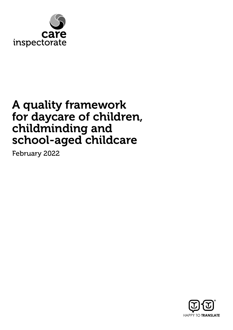

# A quality framework for daycare of children, childminding and school-aged childcare

February 2022

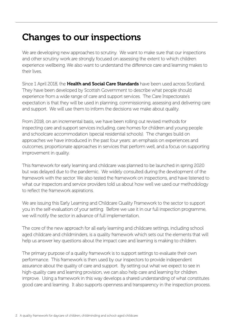# Changes to our inspections

We are developing new approaches to scrutiny. We want to make sure that our inspections and other scrutiny work are strongly focused on assessing the extent to which children experience wellbeing. We also want to understand the difference care and learning makes to their lives.

Since 1 April 2018, the Health and Social Care Standards have been used across Scotland. They have been developed by Scottish Government to describe what people should experience from a wide range of care and support services. The Care Inspectorate's expectation is that they will be used in planning, commissioning, assessing and delivering care and support. We will use them to inform the decisions we make about quality.

From 2018, on an incremental basis, we have been rolling out revised methods for inspecting care and support services including, care homes for children and young people and schoolcare accommodation (special residential schools). The changes build on approaches we have introduced in the past four years: an emphasis on experiences and outcomes, proportionate approaches in services that perform well, and a focus on supporting improvement in quality.

This framework for early learning and childcare was planned to be launched in spring 2020 but was delayed due to the pandemic. We widely consulted during the development of the framework with the sector. We also tested the framework on inspections, and have listened to what our inspectors and service providers told us about how well we used our methodology to reflect the framework aspirations.

We are issuing this Early Learning and Childcare Quality Framework to the sector to support you in the self-evaluation of your setting. Before we use it in our full inspection programme, we will notify the sector in advance of full implementation.

The core of the new approach for all early learning and childcare settings, including school aged childcare and childminders, is a quality framework which sets out the elements that will help us answer key questions about the impact care and learning is making to children.

The primary purpose of a quality framework is to support settings to evaluate their own performance. This framework is then used by our inspectors to provide independent assurance about the quality of care and support. By setting out what we expect to see in high-quality care and learning provision, we can also help care and learning for children improve. Using a framework in this way develops a shared understanding of what constitutes good care and learning. It also supports openness and transparency in the inspection process.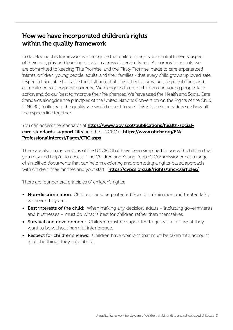### How we have incorporated children's rights within the quality framework

In developing this framework we recognise that children's rights are central to every aspect of their care, play and learning provision across all service types. As corporate parents we are committed to keeping 'The Promise' and the 'Pinky Promise' made to care experienced infants, children, young people, adults, and their families - that every child grows up loved, safe, respected, and able to realise their full potential. This reflects our values, responsibilities, and commitments as corporate parents. We pledge to listen to children and young people, take action and do our best to improve their life chances. We have used the Health and Social Care Standards alongside the principles of the United Nations Convention on the Rights of the Child, (UNCRC) to illustrate the quality we would expect to see. This is to help providers see how all the aspects link together.

#### You can access the Standards at **[https://www.gov.scot/publications/health-social](https://www.gov.scot/publications/health-social-care-standards-support-life/)**[care-standards-support-life/](https://www.gov.scot/publications/health-social-care-standards-support-life/) and the UNCRC at [https://www.ohchr.org/EN/](https://www.ohchr.org/EN/ProfessionalInterest/Pages/CRC.aspx) [ProfessionalInterest/Pages/CRC.aspx](https://www.ohchr.org/EN/ProfessionalInterest/Pages/CRC.aspx)

There are also many versions of the UNCRC that have been simplified to use with children that you may find helpful to access. The Children and Young People's Commissioner has a range of simplified documents that can help in exploring and promoting a rights-based approach with children, their families and your staff. <https://cypcs.org.uk/rights/uncrc/articles/>

There are four general principles of children's rights:

- Non-discrimination: Children must be protected from discrimination and treated fairly whoever they are.
- Best interests of the child: When making any decision, adults including governments and businesses – must do what is best for children rather than themselves.
- Survival and development: Children must be supported to grow up into what they want to be without harmful interference.
- Respect for children's views: Children have opinions that must be taken into account in all the things they care about.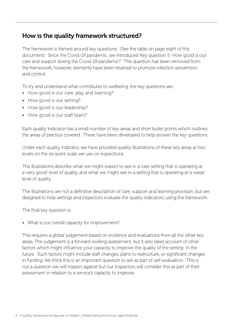### How is the quality framework structured?

The framework is framed around key questions. (See the table on page eight of this document). Since the Covid-19 pandemic, we introduced 'Key question 5: How good is our care and support during the Covid-19 pandemic?' This question has been removed from the framework, however, elements have been retained to promote infection prevention and control.

To try and understand what contributes to wellbeing, the key questions are:

- How good is our care, play and learning?
- How good is our setting?
- How good is our leadership?
- How good is our staff team?

Each quality indicator has a small number of key areas and short bullet points which outlines the areas of practice covered. These have been developed to help answer the key questions.

Under each quality indicator, we have provided quality illustrations of these key areas at two levels on the six-point scale we use on inspections.

The illustrations describe what we might expect to see in a care setting that is operating at a 'very good' level of quality, and what we might see in a setting that is operating at a 'weak' level of quality.

The illustrations are not a definitive description of care, support and learning provision, but are designed to help settings and inspectors evaluate the quality indicators, using the framework.

The final key question is:

• What is our overall capacity for improvement?

This requires a global judgement based on evidence and evaluations from all the other key areas. The judgement is a forward-looking assessment, but it also takes account of other factors which might influence your capacity to improve the quality of the setting in the future. Such factors might include staff changes, plans to restructure, or significant changes in funding. We think this is an important question to ask as part of self-evaluation. This is not a question we will inspect against but our inspectors will consider this as part of their assessment in relation to a service's capacity to improve.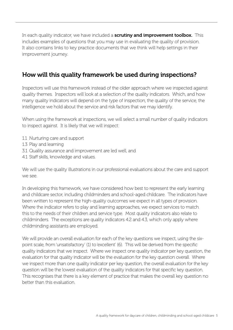In each quality indicator, we have included a **scrutiny and improvement toolbox.** This includes examples of questions that you may use in evaluating the quality of provision. It also contains links to key practice documents that we think will help settings in their improvement journey.

### How will this quality framework be used during inspections?

Inspectors will use this framework instead of the older approach where we inspected against quality themes. Inspectors will look at a selection of the quality indicators. Which, and how many quality indicators will depend on the type of inspection, the quality of the service, the intelligence we hold about the service and risk factors that we may identify.

When using the framework at inspections, we will select a small number of quality indicators to inspect against. It is likely that we will inspect:

- 1.1 Nurturing care and support
- 1.3 Play and learning
- 3.1 Quality assurance and improvement are led well, and
- 4.1 Staff skills, knowledge and values.

We will use the quality illustrations in our professional evaluations about the care and support we see.

In developing this framework, we have considered how best to represent the early learning and childcare sector, including childminders and school-aged childcare. The indicators have been written to represent the high-quality outcomes we expect in all types of provision. Where the indicator refers to play and learning approaches, we expect services to match this to the needs of their children and service type. Most quality indicators also relate to childminders. The exceptions are quality indicators 4.2 and 4.3, which only apply where childminding assistants are employed.

We will provide an overall evaluation for each of the key questions we inspect, using the sixpoint scale, from 'unsatisfactory' (1) to 'excellent' (6). This will be derived from the specific quality indicators that we inspect. Where we inspect one quality indicator per key question, the evaluation for that quality indicator will be the evaluation for the key question overall. Where we inspect more than one quality indicator per key question, the overall evaluation for the key question will be the lowest evaluation of the quality indicators for that specific key question. This recognises that there is a key element of practice that makes the overall key question no better than this evaluation.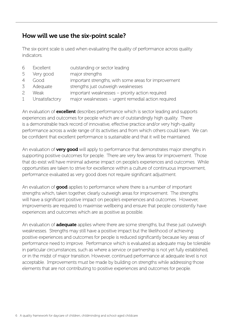### How will we use the six-point scale?

The six-point scale is used when evaluating the quality of performance across quality indicators.

| 6<br>Excellent | outstanding or sector leading |  |
|----------------|-------------------------------|--|
|----------------|-------------------------------|--|

- 5 Very good major strengths
- 4 Good important strengths, with some areas for improvement
- 3 Adequate strengths just outweigh weaknesses
- 2 Weak important weaknesses priority action required
- 1 Unsatisfactory major weaknesses urgent remedial action required

An evaluation of **excellent** describes performance which is sector leading and supports experiences and outcomes for people which are of outstandingly high quality. There is a demonstrable track record of innovative, effective practice and/or very high-quality performance across a wide range of its activities and from which others could learn. We can be confident that excellent performance is sustainable and that it will be maintained.

An evaluation of **very good** will apply to performance that demonstrates major strengths in supporting positive outcomes for people. There are very few areas for improvement. Those that do exist will have minimal adverse impact on people's experiences and outcomes. While opportunities are taken to strive for excellence within a culture of continuous improvement, performance evaluated as very good does not require significant adjustment.

An evaluation of good applies to performance where there is a number of important strengths which, taken together, clearly outweigh areas for improvement. The strengths will have a significant positive impact on people's experiences and outcomes. However, improvements are required to maximise wellbeing and ensure that people consistently have experiences and outcomes which are as positive as possible.

An evaluation of **adequate** applies where there are some strengths, but these just outweigh weaknesses. Strengths may still have a positive impact but the likelihood of achieving positive experiences and outcomes for people is reduced significantly because key areas of performance need to improve. Performance which is evaluated as adequate may be tolerable in particular circumstances, such as where a service or partnership is not yet fully established, or in the midst of major transition. However, continued performance at adequate level is not acceptable. Improvements must be made by building on strengths while addressing those elements that are not contributing to positive experiences and outcomes for people.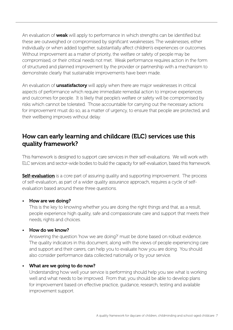An evaluation of **weak** will apply to performance in which strengths can be identified but these are outweighed or compromised by significant weaknesses. The weaknesses, either individually or when added together, substantially affect children's experiences or outcomes. Without improvement as a matter of priority, the welfare or safety of people may be compromised, or their critical needs not met. Weak performance requires action in the form of structured and planned improvement by the provider or partnership with a mechanism to demonstrate clearly that sustainable improvements have been made.

An evaluation of **unsatisfactory** will apply when there are major weaknesses in critical aspects of performance which require immediate remedial action to improve experiences and outcomes for people. It is likely that people's welfare or safety will be compromised by risks which cannot be tolerated. Those accountable for carrying out the necessary actions for improvement must do so, as a matter of urgency, to ensure that people are protected, and their wellbeing improves without delay.

### How can early learning and childcare (ELC) services use this quality framework?

This framework is designed to support care services in their self-evaluations. We will work with ELC services and sector-wide bodies to build the capacity for self-evaluation, based this framework.

**[Self-evaluation](https://www.careinspectorate.com/images/Self_evaluation_for_improvement_-_your_guide.pdf)** is a core part of assuring quality and supporting improvement. The process of self-evaluation, as part of a wider quality assurance approach, requires a cycle of selfevaluation based around these three questions.

#### • How are we doing?

This is the key to knowing whether you are doing the right things and that, as a result, people experience high quality, safe and compassionate care and support that meets their needs, rights and choices.

#### • How do we know?

Answering the question 'how we are doing?' must be done based on robust evidence. The quality indicators in this document, along with the views of people experiencing care and support and their carers, can help you to evaluate how you are doing. You should also consider performance data collected nationally or by your service.

#### What are we going to do now?

Understanding how well your service is performing should help you see what is working well and what needs to be improved. From that, you should be able to develop plans for improvement based on effective practice, guidance, research, testing and available improvement support.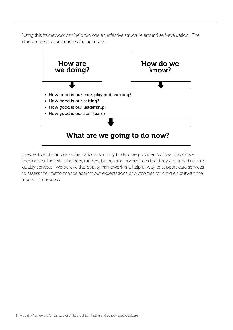Using this framework can help provide an effective structure around self-evaluation. The diagram below summarises the approach.



Irrespective of our role as the national scrutiny body, care providers will want to satisfy themselves, their stakeholders, funders, boards and committees that they are providing highquality services. We believe this quality framework is a helpful way to support care services to assess their performance against our expectations of outcomes for children outwith the inspection process.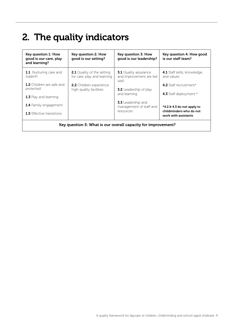# 2. The quality indicators

| Key question 1: How<br>good is our care, play<br>and learning? | Key question 2: How<br>good is our setting?                      | Key question 3: How<br>good is our leadership?                  | Key question 4: How good<br>is our staff team?    |
|----------------------------------------------------------------|------------------------------------------------------------------|-----------------------------------------------------------------|---------------------------------------------------|
| <b>1.1</b> Nurturing care and<br>support                       | <b>2.1</b> Quality of the setting<br>for care, play and learning | <b>3.1</b> Quality assurance<br>and improvement are led<br>well | <b>4.1</b> Staff skills, knowledge,<br>and values |
| <b>1.2</b> Children are safe and<br>protected                  | <b>2.2</b> Children experience<br>high quality facilities        | <b>3.2</b> Leadership of play<br>and learning                   | 4.2 Staff recruitment*<br>4.3 Staff deployment *  |
| 1.3 Play and learning                                          |                                                                  |                                                                 |                                                   |
| <b>1.4</b> Family engagement                                   |                                                                  | <b>3.3</b> Leadership and<br>management of staff and            | $*4.2 6 4.3$ do not apply to                      |
| <b>1.5</b> Effective transitions                               |                                                                  | resources                                                       | childminders who do not<br>work with assistants   |
| Key question 5: What is our overall capacity for improvement?  |                                                                  |                                                                 |                                                   |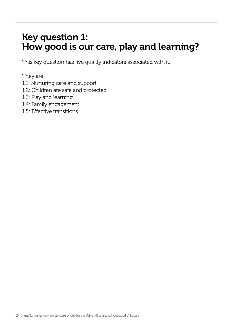# Key question 1: How good is our care, play and learning?

This key question has five quality indicators associated with it.

They are:

- 1.1: Nurturing care and support
- 1.2: Children are safe and protected
- 1.3: Play and learning
- 1.4: Family engagement
- 1.5: Effective transitions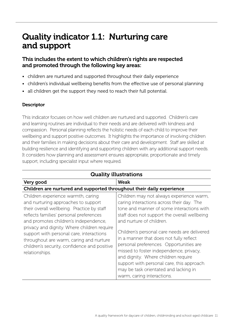### Quality indicator 1.1: Nurturing care and support

#### This includes the extent to which children's rights are respected and promoted through the following key areas:

- children are nurtured and supported throughout their daily experience
- children's individual wellbeing benefits from the effective use of personal planning
- all children get the support they need to reach their full potential.

#### **Descriptor**

This indicator focuses on how well children are nurtured and supported. Children's care and learning routines are individual to their needs and are delivered with kindness and compassion. Personal planning reflects the holistic needs of each child to improve their wellbeing and support positive outcomes. It highlights the importance of involving children and their families in making decisions about their care and development. Staff are skilled at building resilience and identifying and supporting children with any additional support needs. It considers how planning and assessment ensures appropriate, proportionate and timely support, including specialist input where required.

| <b>Quality illustrations</b>                                                                                                                                                                                                                                                                                                                                                                                        |                                                                                                                                                                                                                                                                                                                                                                                                                                                                                                                                                            |  |  |
|---------------------------------------------------------------------------------------------------------------------------------------------------------------------------------------------------------------------------------------------------------------------------------------------------------------------------------------------------------------------------------------------------------------------|------------------------------------------------------------------------------------------------------------------------------------------------------------------------------------------------------------------------------------------------------------------------------------------------------------------------------------------------------------------------------------------------------------------------------------------------------------------------------------------------------------------------------------------------------------|--|--|
| Very good                                                                                                                                                                                                                                                                                                                                                                                                           | <b>Weak</b>                                                                                                                                                                                                                                                                                                                                                                                                                                                                                                                                                |  |  |
|                                                                                                                                                                                                                                                                                                                                                                                                                     | Children are nurtured and supported throughout their daily experience                                                                                                                                                                                                                                                                                                                                                                                                                                                                                      |  |  |
| Children experience warmth, caring<br>and nurturing approaches to support<br>their overall wellbeing. Practice by staff<br>reflects families' personal preferences<br>and promotes children's independence,<br>privacy and dignity. Where children require<br>support with personal care, interactions<br>throughout are warm, caring and nurture<br>children's security, confidence and positive<br>relationships. | Children may not always experience warm,<br>caring interactions across their day. The<br>tone and manner of some interactions with<br>staff does not support the overall wellbeing<br>and nurture of children.<br>Children's personal care needs are delivered<br>in a manner that does not fully reflect<br>personal preferences. Opportunities are<br>missed to foster independence, privacy,<br>and dignity. Where children require<br>support with personal care, this approach<br>may be task orientated and lacking in<br>warm, caring interactions. |  |  |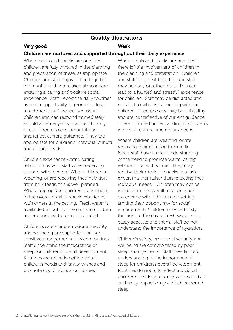### Quality illustrations

#### Very good Weak

#### Children are nurtured and supported throughout their daily experience

When meals and snacks are provided. children are fully involved in the planning and preparation of these, as appropriate. Children and staff enjoy eating together in an unhurried and relaxed atmosphere, ensuring a caring and positive social experience. Staff recognise daily routines as a rich opportunity to promote close attachment. Staff are focused on all children and can respond immediately should an emergency, such as choking, occur. Food choices are nutritious and reflect current guidance. They are appropriate for children's individual cultural and dietary needs.

Children experience warm, caring relationships with staff when receiving support with feeding. Where children are weaning, or are receiving their nutrition from milk feeds, this is well planned. Where appropriate, children are included in the overall meal or snack experience with others in the setting. Fresh water is available throughout the day and children are encouraged to remain hydrated.

Children's safety and emotional security and wellbeing are supported through sensitive arrangements for sleep routines. Staff understand the importance of sleep for children's overall development. Routines are reflective of individual children's needs and family wishes and promote good habits around sleep.

When meals and snacks are provided. there is little involvement of children in the planning and preparation. Children and staff do not sit together, and staff may be busy on other tasks. This can lead to a hurried and stressful experience for children. Staff may be distracted and not alert to what is happening with the children. Food choices may be unhealthy and are not reflective of current guidance. There is limited understanding of children's individual cultural and dietary needs.

Where children are weaning, or are receiving their nutrition from milk feeds, staff have limited understanding of the need to promote warm, caring relationships at this time. They may receive their meals or snacks in a task driven manner rather than reflecting their individual needs. Children may not be included in the overall meal or snack experience with others in the setting, limiting their opportunity for social engagement. Children may be thirsty throughout the day as fresh water is not easily accessible to them. Staff do not understand the importance of hydration.

Children's safety, emotional security and wellbeing are compromised by poor sleep arrangements. Staff have limited understanding of the importance of sleep for children's overall development. Routines do not fully reflect individual children's needs and family wishes and as such may impact on good habits around sleep.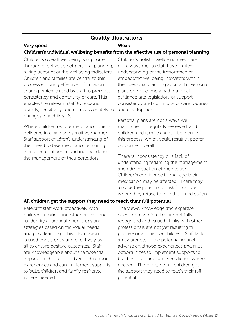| <b>Quality illustrations</b>                                                                                                                                                                                                                                                                                                                                                                                                                                                                                                                                                                                                                                                                                       |                                                                                                                                                                                                                                                                                                                                                                                                                                                                                                                                                                                                                                                                                                                                                                                                                    |  |
|--------------------------------------------------------------------------------------------------------------------------------------------------------------------------------------------------------------------------------------------------------------------------------------------------------------------------------------------------------------------------------------------------------------------------------------------------------------------------------------------------------------------------------------------------------------------------------------------------------------------------------------------------------------------------------------------------------------------|--------------------------------------------------------------------------------------------------------------------------------------------------------------------------------------------------------------------------------------------------------------------------------------------------------------------------------------------------------------------------------------------------------------------------------------------------------------------------------------------------------------------------------------------------------------------------------------------------------------------------------------------------------------------------------------------------------------------------------------------------------------------------------------------------------------------|--|
| Very good                                                                                                                                                                                                                                                                                                                                                                                                                                                                                                                                                                                                                                                                                                          | <b>Weak</b>                                                                                                                                                                                                                                                                                                                                                                                                                                                                                                                                                                                                                                                                                                                                                                                                        |  |
|                                                                                                                                                                                                                                                                                                                                                                                                                                                                                                                                                                                                                                                                                                                    | Children's individual wellbeing benefits from the effective use of personal planning                                                                                                                                                                                                                                                                                                                                                                                                                                                                                                                                                                                                                                                                                                                               |  |
| Children's overall wellbeing is supported<br>through effective use of personal planning,<br>taking account of the wellbeing indicators.<br>Children and families are central to this<br>process ensuring effective information<br>sharing which is used by staff to promote<br>consistency and continuity of care. This<br>enables the relevant staff to respond<br>quickly, sensitively, and compassionately to<br>changes in a child's life.<br>Where children require medication, this is<br>delivered in a safe and sensitive manner.<br>Staff support children's understanding of<br>their need to take medication ensuring<br>increased confidence and independence in<br>the management of their condition. | Children's holistic wellbeing needs are<br>not always met as staff have limited<br>understanding of the importance of<br>embedding wellbeing indicators within<br>their personal planning approach. Personal<br>plans do not comply with national<br>quidance and legislation, or support<br>consistency and continuity of care routines<br>and development.<br>Personal plans are not always well<br>maintained or regularly reviewed, and<br>children and families have little input in<br>this process, which could result in poorer<br>outcomes overall.<br>There is inconsistency or a lack of<br>understanding regarding the management<br>and administration of medication.<br>Children's confidence to manage their<br>medication may be affected. There may<br>also be the potential of risk for children |  |
| All children get the support they need to reach their full potential                                                                                                                                                                                                                                                                                                                                                                                                                                                                                                                                                                                                                                               | where they refuse to take their medication.                                                                                                                                                                                                                                                                                                                                                                                                                                                                                                                                                                                                                                                                                                                                                                        |  |
| Relevant staff work proactively with                                                                                                                                                                                                                                                                                                                                                                                                                                                                                                                                                                                                                                                                               | The views, knowledge and expertise                                                                                                                                                                                                                                                                                                                                                                                                                                                                                                                                                                                                                                                                                                                                                                                 |  |
| children, families, and other professionals<br>to identify appropriate next steps and<br>strategies based on individual needs<br>and prior learning. This information<br>is used consistently and effectively by<br>all to ensure positive outcomes. Staff                                                                                                                                                                                                                                                                                                                                                                                                                                                         | of children and families are not fully<br>recognised and valued. Links with other<br>professionals are not yet resulting in<br>positive outcomes for children. Staff lack<br>an awareness of the potential impact of<br>adverse childhood experiences and miss                                                                                                                                                                                                                                                                                                                                                                                                                                                                                                                                                     |  |
| are knowledgeable about the potential<br>impact on children of adverse childhood<br>experiences and can implement supports<br>to build children and family resilience<br>where, needed.                                                                                                                                                                                                                                                                                                                                                                                                                                                                                                                            | opportunities to implement supports to<br>build children and family resilience where<br>needed. Therefore, not all children get<br>the support they need to reach their full<br>potential.                                                                                                                                                                                                                                                                                                                                                                                                                                                                                                                                                                                                                         |  |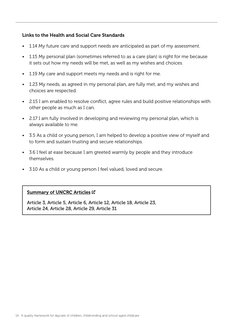#### Links to the Health and Social Care Standards

- 1.14 My future care and support needs are anticipated as part of my assessment.
- 1.15 My personal plan (sometimes referred to as a care plan) is right for me because it sets out how my needs will be met, as well as my wishes and choices.
- 1.19 My care and support meets my needs and is right for me.
- 1.23 My needs, as agreed in my personal plan, are fully met, and my wishes and choices are respected.
- 2.15 I am enabled to resolve conflict, agree rules and build positive relationships with other people as much as I can.
- 2.17 I am fully involved in developing and reviewing my personal plan, which is always available to me.
- 3.5 As a child or young person, I am helped to develop a positive view of myself and to form and sustain trusting and secure relationships.
- 3.6 I feel at ease because I am greeted warmly by people and they introduce themselves.
- 3.10 As a child or young person I feel valued, loved and secure.

#### [Summary of UNCRC Articles](https://www.unicef.org.uk/wp-content/uploads/2010/05/UNCRC_summary-1.pdf) L'

Article 3, Article 5, Article 6, Article 12, Article 18, Article 23, Article 24, Article 28, Article 29, Article 31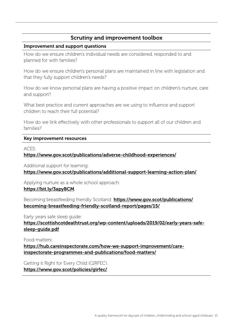#### Improvement and support questions

How do we ensure children's individual needs are considered, responded to and planned for with families?

How do we ensure children's personal plans are maintained in line with legislation and that they fully support children's needs?

How do we know personal plans are having a positive impact on children's nurture, care and support?

What best practice and current approaches are we using to influence and support children to reach their full potential?

How do we link effectively with other professionals to support all of our children and families?

#### Key improvement resources

ACES:

<https://www.gov.scot/publications/adverse-childhood-experiences/>

Additional support for learning:

<https://www.gov.scot/publications/additional-support-learning-action-plan/>

Applying nurture as a whole school approach:

#### <https://bit.ly/3apyBCM>

Becoming breastfeeding friendly Scotland: [https://www.gov.scot/publications/](https://www.gov.scot/publications/becoming-breastfeeding-friendly-scotland-report/pages/15/) [becoming-breastfeeding-friendly-scotland-report/pages/15/](https://www.gov.scot/publications/becoming-breastfeeding-friendly-scotland-report/pages/15/)

Early years safe sleep guide: [https://scottishcotdeathtrust.org/wp-content/uploads/2019/02/early-years-safe](https://scottishcotdeathtrust.org/wp-content/uploads/2019/02/early-years-safe-sleep-guide.pdf)[sleep-guide.pdf](https://scottishcotdeathtrust.org/wp-content/uploads/2019/02/early-years-safe-sleep-guide.pdf)

Food matters:

[https://hub.careinspectorate.com/how-we-support-improvement/care](https://hub.careinspectorate.com/how-we-support-improvement/care-inspectorate-programmes-and-publications/food-matters/)[inspectorate-programmes-and-publications/food-matters/](https://hub.careinspectorate.com/how-we-support-improvement/care-inspectorate-programmes-and-publications/food-matters/)

Getting it Right for Every Child (GIRFEC): <https://www.gov.scot/policies/girfec/>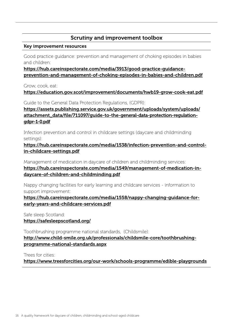#### Key improvement resources

Good practice guidance: prevention and management of choking episodes in babies and children:

[https://hub.careinspectorate.com/media/3913/good-practice-guidance](https://hub.careinspectorate.com/media/3913/good-practice-guidance-prevention-and-management-of-choking-episodes-in-babies-and-children.pdf)[prevention-and-management-of-choking-episodes-in-babies-and-children.pdf](https://hub.careinspectorate.com/media/3913/good-practice-guidance-prevention-and-management-of-choking-episodes-in-babies-and-children.pdf)

Grow, cook, eat:

<https://education.gov.scot/improvement/documents/hwb19-grow-cook-eat.pdf>

Guide to the General Data Protection Regulations, (GDPR):

[https://assets.publishing.service.gov.uk/government/uploads/system/uploads/](https://assets.publishing.service.gov.uk/government/uploads/system/uploads/attachment_data/file/711097/guide-to-the-general-data-protection-regulation-gdpr-1-0.pdf) [attachment\\_data/file/711097/guide-to-the-general-data-protection-regulation](https://assets.publishing.service.gov.uk/government/uploads/system/uploads/attachment_data/file/711097/guide-to-the-general-data-protection-regulation-gdpr-1-0.pdf)[gdpr-1-0.pdf](https://assets.publishing.service.gov.uk/government/uploads/system/uploads/attachment_data/file/711097/guide-to-the-general-data-protection-regulation-gdpr-1-0.pdf)

Infection prevention and control in childcare settings (daycare and childminding settings):

[https://hub.careinspectorate.com/media/1538/infection-prevention-and-control](https://hub.careinspectorate.com/media/1538/infection-prevention-and-control-in-childcare-settings.pdf)[in-childcare-settings.pdf](https://hub.careinspectorate.com/media/1538/infection-prevention-and-control-in-childcare-settings.pdf)

Management of medication in daycare of children and childminding services:

[https://hub.careinspectorate.com/media/1549/management-of-medication-in](https://hub.careinspectorate.com/media/1549/management-of-medication-in-daycare-of-children-and-childminding.pdf)[daycare-of-children-and-childminding.pdf](https://hub.careinspectorate.com/media/1549/management-of-medication-in-daycare-of-children-and-childminding.pdf)

Nappy changing facilities for early learning and childcare services - information to support improvement:

[https://hub.careinspectorate.com/media/1558/nappy-changing-guidance-for](https://hub.careinspectorate.com/media/1558/nappy-changing-guidance-for-early-years-and-childcare-services.pdf)[early-years-and-childcare-services.pdf](https://hub.careinspectorate.com/media/1558/nappy-changing-guidance-for-early-years-and-childcare-services.pdf)

Safe sleep Scotland:

<https://safesleepscotland.org/>

Toothbrushing programme national standards, (Childsmile): [http://www.child-smile.org.uk/professionals/childsmile-core/toothbrushing](http://www.child-smile.org.uk/professionals/childsmile-core/toothbrushing-programme-national-standards.aspx)[programme-national-standards.aspx](http://www.child-smile.org.uk/professionals/childsmile-core/toothbrushing-programme-national-standards.aspx)

Trees for cities:

<https://www.treesforcities.org/our-work/schools-programme/edible-playgrounds>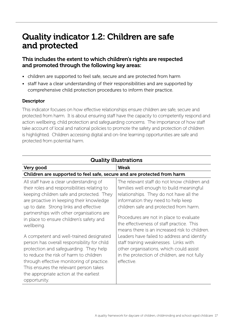### Quality indicator 1.2: Children are safe and protected

#### This includes the extent to which children's rights are respected and promoted through the following key areas:

- children are supported to feel safe, secure and are protected from harm
- staff have a clear understanding of their responsibilities and are supported by comprehensive child protection procedures to inform their practice.

#### **Descriptor**

This indicator focuses on how effective relationships ensure children are safe, secure and protected from harm. It is about ensuring staff have the capacity to competently respond and action wellbeing, child protection and safeguarding concerns. The importance of how staff take account of local and national policies to promote the safety and protection of children is highlighted. Children accessing digital and on-line learning opportunities are safe and protected from potential harm.

| <b>Quality illustrations</b>                                                                                                                                                                                                                                                                                                                                                                                                                                                                                                                                                                                                                                     |                                                                                                                                                                                                                                                                                                                                                                                                                                                                                                                                                              |  |
|------------------------------------------------------------------------------------------------------------------------------------------------------------------------------------------------------------------------------------------------------------------------------------------------------------------------------------------------------------------------------------------------------------------------------------------------------------------------------------------------------------------------------------------------------------------------------------------------------------------------------------------------------------------|--------------------------------------------------------------------------------------------------------------------------------------------------------------------------------------------------------------------------------------------------------------------------------------------------------------------------------------------------------------------------------------------------------------------------------------------------------------------------------------------------------------------------------------------------------------|--|
| Very good                                                                                                                                                                                                                                                                                                                                                                                                                                                                                                                                                                                                                                                        | <b>Weak</b>                                                                                                                                                                                                                                                                                                                                                                                                                                                                                                                                                  |  |
| Children are supported to feel safe, secure and are protected from harm                                                                                                                                                                                                                                                                                                                                                                                                                                                                                                                                                                                          |                                                                                                                                                                                                                                                                                                                                                                                                                                                                                                                                                              |  |
| All staff have a clear understanding of<br>their roles and responsibilities relating to<br>keeping children safe and protected. They<br>are proactive in keeping their knowledge<br>up to date. Strong links and effective<br>partnerships with other organisations are<br>in place to ensure children's safety and<br>wellbeing.<br>A competent and well-trained designated<br>person has overall responsibility for child<br>protection and safeguarding. They help<br>to reduce the risk of harm to children<br>through effective monitoring of practice.<br>This ensures the relevant person takes<br>the appropriate action at the earliest<br>opportunity. | The relevant staff do not know children and<br>families well enough to build meaningful<br>relationships. They do not have all the<br>information they need to help keep<br>children safe and protected from harm.<br>Procedures are not in place to evaluate<br>the effectiveness of staff practice. This<br>means there is an increased risk to children.<br>Leaders have failed to address and identify<br>staff training weaknesses. Links with<br>other organisations, which could assist<br>in the protection of children, are not fully<br>effective. |  |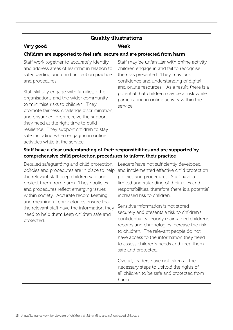| <b>Quality illustrations</b>                                                                                                                                                                                                                                                                                                                                                                                                                                                                                                                            |                                                                                                                                                                                                                                                                                                                                       |  |
|---------------------------------------------------------------------------------------------------------------------------------------------------------------------------------------------------------------------------------------------------------------------------------------------------------------------------------------------------------------------------------------------------------------------------------------------------------------------------------------------------------------------------------------------------------|---------------------------------------------------------------------------------------------------------------------------------------------------------------------------------------------------------------------------------------------------------------------------------------------------------------------------------------|--|
| Very good                                                                                                                                                                                                                                                                                                                                                                                                                                                                                                                                               | <b>Weak</b>                                                                                                                                                                                                                                                                                                                           |  |
| Children are supported to feel safe, secure and are protected from harm                                                                                                                                                                                                                                                                                                                                                                                                                                                                                 |                                                                                                                                                                                                                                                                                                                                       |  |
| Staff work together to accurately identify<br>and address areas of learning in relation to<br>safeguarding and child protection practice<br>and procedures.<br>Staff skilfully engage with families, other<br>organisations and the wider community<br>to minimise risks to children. They<br>promote fairness, challenge discrimination,<br>and ensure children receive the support<br>they need at the right time to build<br>resilience. They support children to stay<br>safe including when engaging in online<br>activities while in the service. | Staff may be unfamiliar with online activity<br>children engage in and fail to recognise<br>the risks presented. They may lack<br>confidence and understanding of digital<br>and online resources. As a result, there is a<br>potential that children may be at risk while<br>participating in online activity within the<br>service. |  |
| Staff have a clear understanding of their responsibilities and are supported by<br>comprehensive child protection procedures to inform their practice                                                                                                                                                                                                                                                                                                                                                                                                   |                                                                                                                                                                                                                                                                                                                                       |  |
| Detailed safeguarding and child protection<br>policies and procedures are in place to help<br>the relevant staff keep children safe and<br>protect them from harm. These policies<br>and procedures reflect emerging issues<br>within society. Accurate record keeping<br>and meaningful chronologies ensure that<br>the relevant staff have the information they<br>need to help them keep children safe and<br>protected.                                                                                                                             | Leaders have not sufficiently developed<br>and implemented effective child protection<br>policies and procedures. Staff have a<br>limited understanding of their roles and<br>responsibilities, therefore there is a potential<br>increased risk to children.<br>Sensitive information is not stored                                  |  |
|                                                                                                                                                                                                                                                                                                                                                                                                                                                                                                                                                         | securely and presents a risk to children's<br>confidentiality. Poorly maintained children's<br>records and chronologies increase the risk<br>to children. The relevant people do not<br>have access to the information they need<br>to assess children's needs and keep them<br>safe and protected.                                   |  |
|                                                                                                                                                                                                                                                                                                                                                                                                                                                                                                                                                         | Overall, leaders have not taken all the<br>necessary steps to uphold the rights of<br>all children to be safe and protected from<br>harm.                                                                                                                                                                                             |  |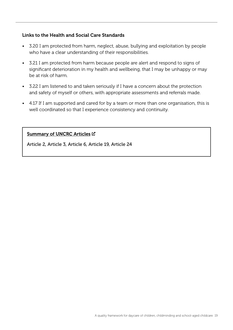#### Links to the Health and Social Care Standards

- 3.20 I am protected from harm, neglect, abuse, bullying and exploitation by people who have a clear understanding of their responsibilities.
- 3.21 I am protected from harm because people are alert and respond to signs of significant deterioration in my health and wellbeing, that I may be unhappy or may be at risk of harm.
- 3.22 I am listened to and taken seriously if I have a concern about the protection and safety of myself or others, with appropriate assessments and referrals made.
- 4.17 If I am supported and cared for by a team or more than one organisation, this is well coordinated so that I experience consistency and continuity.

#### [Summary of UNCRC Articles](https://www.unicef.org.uk/wp-content/uploads/2010/05/UNCRC_summary-1.pdf) C

Article 2, Article 3, Article 6, Article 19, Article 24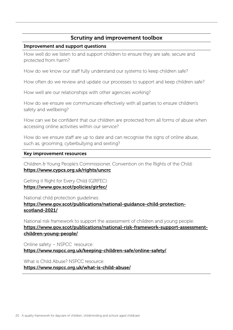#### Improvement and support questions

How well do we listen to and support children to ensure they are safe, secure and protected from harm?

How do we know our staff fully understand our systems to keep children safe?

How often do we review and update our processes to support and keep children safe?

How well are our relationships with other agencies working?

How do we ensure we communicate effectively with all parties to ensure children's safety and wellbeing?

How can we be confident that our children are protected from all forms of abuse when accessing online activities within our service?

How do we ensure staff are up to date and can recognise the signs of online abuse, such as, grooming, cyberbullying and sexting?

#### Key improvement resources

Children & Young People's Commissioner, Convention on the Rights of the Child: <https://www.cypcs.org.uk/rights/uncrc>

Getting it Right for Every Child (GIRFEC): <https://www.gov.scot/policies/girfec/>

National child protection guidelines:

[https://www.gov.scot/publications/national-guidance-child-protection](https://www.gov.scot/publications/national-guidance-child-protection-scotland-2021/)[scotland-2021/](https://www.gov.scot/publications/national-guidance-child-protection-scotland-2021/)

National risk framework to support the assessment of children and young people: [https://www.gov.scot/publications/national-risk-framework-support-assessment](https://www.gov.scot/publications/national-risk-framework-support-assessment-children-young-people/)[children-young-people/](https://www.gov.scot/publications/national-risk-framework-support-assessment-children-young-people/)

Online safety – NSPCC resource: <https://www.nspcc.org.uk/keeping-children-safe/online-safety/>

What is Child Abuse? NSPCC resource: <https://www.nspcc.org.uk/what-is-child-abuse/>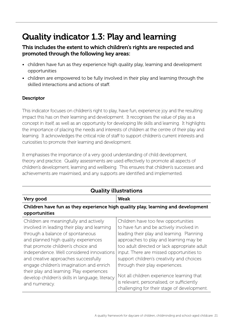# Quality indicator 1.3: Play and learning

### This includes the extent to which children's rights are respected and promoted through the following key areas:

- children have fun as they experience high quality play, learning and development opportunities
- children are empowered to be fully involved in their play and learning through the skilled interactions and actions of staff.

#### **Descriptor**

This indicator focuses on children's right to play, have fun, experience joy and the resulting impact this has on their learning and development. It recognises the value of play as a concept in itself, as well as an opportunity for developing life skills and learning. It highlights the importance of placing the needs and interests of children at the centre of their play and learning. It acknowledges the critical role of staff to support children's current interests and curiosities to promote their learning and development.

It emphasises the importance of a very good understanding of child development, theory and practice. Quality assessments are used effectively to promote all aspects of children's development, learning and wellbeing. This ensures that children's successes and achievements are maximised, and any supports are identified and implemented.

| <b>Quality illustrations</b>                                                                                                                                                                                                                                                                                                                                                                                                                              |                                                                                                                                                                                                                                                                                                                                                                                                                                                                                             |  |
|-----------------------------------------------------------------------------------------------------------------------------------------------------------------------------------------------------------------------------------------------------------------------------------------------------------------------------------------------------------------------------------------------------------------------------------------------------------|---------------------------------------------------------------------------------------------------------------------------------------------------------------------------------------------------------------------------------------------------------------------------------------------------------------------------------------------------------------------------------------------------------------------------------------------------------------------------------------------|--|
| Very good                                                                                                                                                                                                                                                                                                                                                                                                                                                 | <b>Weak</b>                                                                                                                                                                                                                                                                                                                                                                                                                                                                                 |  |
| Children have fun as they experience high quality play, learning and development<br>opportunities                                                                                                                                                                                                                                                                                                                                                         |                                                                                                                                                                                                                                                                                                                                                                                                                                                                                             |  |
| Children are meaningfully and actively<br>involved in leading their play and learning<br>through a balance of spontaneous<br>and planned high quality experiences<br>that promote children's choice and<br>independence. Well considered innovations<br>and creative approaches successfully<br>engage children's imagination and enrich<br>their play and learning. Play experiences<br>develop children's skills in language, literacy<br>and numeracy. | Children have too few opportunities<br>to have fun and be actively involved in<br>leading their play and learning. Planning<br>approaches to play and learning may be<br>too adult directed or lack appropriate adult<br>input. There are missed opportunities to<br>support children's creativity and choices<br>through their play experiences.<br>Not all children experience learning that<br>is relevant, personalised, or sufficiently<br>challenging for their stage of development. |  |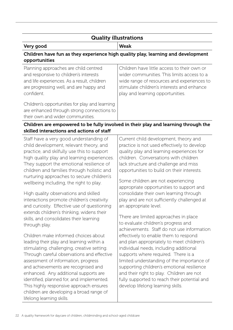### Quality illustrations

Very good Weak

#### Children have fun as they experience high quality play, learning and development opportunities

| Planning approaches are child centred                                                                                            | Children have little access to their own or |
|----------------------------------------------------------------------------------------------------------------------------------|---------------------------------------------|
| and responsive to children's interests                                                                                           | wider communities. This limits access to a  |
| and life experiences. As a result, children                                                                                      | wide range of resources and experiences to  |
| are progressing well, and are happy and                                                                                          | stimulate children's interests and enhance  |
| confident.                                                                                                                       | play and learning opportunities.            |
| Children's opportunities for play and learning<br>are enhanced through strong connections to<br>their own and wider communities. |                                             |

#### Children are empowered to be fully involved in their play and learning through the skilled interactions and actions of staff

| Staff have a very good understanding of<br>child development, relevant theory, and<br>practice, and skilfully use this to support<br>high quality play and learning experiences.<br>They support the emotional resilience of<br>children and families through holistic and<br>nurturing approaches to secure children's<br>wellbeing including, the right to play.                                                           | Current child development, theory and<br>practice is not used effectively to develop<br>quality play and learning experiences for<br>children. Conversations with children<br>lack structure and challenge and miss<br>opportunities to build on their interests.<br>Some children are not experiencing                                                                                                                                                         |
|------------------------------------------------------------------------------------------------------------------------------------------------------------------------------------------------------------------------------------------------------------------------------------------------------------------------------------------------------------------------------------------------------------------------------|-----------------------------------------------------------------------------------------------------------------------------------------------------------------------------------------------------------------------------------------------------------------------------------------------------------------------------------------------------------------------------------------------------------------------------------------------------------------|
| High quality observations and skilled<br>interactions promote children's creativity<br>and curiosity. Effective use of questioning<br>extends children's thinking, widens their<br>skills, and consolidates their learning<br>through play.<br>Children make informed choices about<br>leading their play and learning within a<br>stimulating, challenging, creative setting.<br>Through careful observations and effective | appropriate opportunities to support and<br>consolidate their own learning through<br>play and are not sufficiently challenged at<br>an appropriate level.<br>There are limited approaches in place<br>to evaluate children's progress and<br>achievements. Staff do not use information<br>effectively to enable them to respond<br>and plan appropriately to meet children's<br>individual needs, including additional<br>supports where required. There is a |
| assessment of information, progress<br>and achievements are recognised and<br>enhanced. Any additional supports are<br>identified, planned for, and implemented.<br>This highly responsive approach ensures<br>children are developing a broad range of<br>lifelong learning skills.                                                                                                                                         | limited understanding of the importance of<br>supporting children's emotional resilience<br>and their right to play. Children are not<br>fully supported to reach their potential and<br>develop lifelong learning skills.                                                                                                                                                                                                                                      |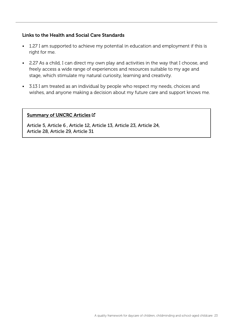#### Links to the Health and Social Care Standards

- 1.27 I am supported to achieve my potential in education and employment if this is right for me.
- 2.27 As a child, I can direct my own play and activities in the way that I choose, and freely access a wide range of experiences and resources suitable to my age and stage, which stimulate my natural curiosity, learning and creativity.
- 3.13 I am treated as an individual by people who respect my needs, choices and wishes, and anyone making a decision about my future care and support knows me.

#### [Summary of UNCRC Articles](https://www.unicef.org.uk/wp-content/uploads/2010/05/UNCRC_summary-1.pdf)  $\boxtimes$

Article 5, Article 6 , Article 12, Article 13, Article 23, Article 24, Article 28, Article 29, Article 31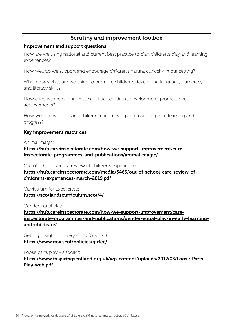#### Improvement and support questions

How are we using national and current best practice to plan children's play and learning experiences?

How well do we support and encourage children's natural curiosity in our setting?

What approaches are we using to promote children's developing language, numeracy and literacy skills?

How effective are our processes to track children's development, progress and achievements?

How well are we involving children in identifying and assessing their learning and progress?

#### Key improvement resources

Animal magic:

[https://hub.careinspectorate.com/how-we-support-improvement/care](https://hub.careinspectorate.com/how-we-support-improvement/care-inspectorate-programmes-and-publications/animal-magic/)[inspectorate-programmes-and-publications/animal-magic/](https://hub.careinspectorate.com/how-we-support-improvement/care-inspectorate-programmes-and-publications/animal-magic/)

Out of school care - a review of children's experiences:

[https://hub.careinspectorate.com/media/3465/out-of-school-care-review-of](https://hub.careinspectorate.com/media/3465/out-of-school-care-review-of-childrens-experiences-march-2019.pdf)[childrens-experiences-march-2019.pdf](https://hub.careinspectorate.com/media/3465/out-of-school-care-review-of-childrens-experiences-march-2019.pdf)

Curriculum for Excellence: <https://scotlandscurriculum.scot/4/>

Gender equal play:

[https://hub.careinspectorate.com/how-we-support-improvement/care](https://hub.careinspectorate.com/how-we-support-improvement/care-inspectorate-programmes-and-publications/gender-equal-play-in-early-learning-and-childcare/)[inspectorate-programmes-and-publications/gender-equal-play-in-early-learning](https://hub.careinspectorate.com/how-we-support-improvement/care-inspectorate-programmes-and-publications/gender-equal-play-in-early-learning-and-childcare/)[and-childcare/](https://hub.careinspectorate.com/how-we-support-improvement/care-inspectorate-programmes-and-publications/gender-equal-play-in-early-learning-and-childcare/)

Getting it Right for Every Child (GIRFEC): <https://www.gov.scot/policies/girfec/>

Loose parts play - a toolkit: [https://www.inspiringscotland.org.uk/wp-content/uploads/2017/03/Loose-Parts-](https://www.inspiringscotland.org.uk/wp-content/uploads/2017/03/Loose-Parts-Play-web.pdf)[Play-web.pdf](https://www.inspiringscotland.org.uk/wp-content/uploads/2017/03/Loose-Parts-Play-web.pdf)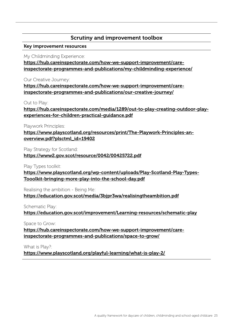#### Key improvement resources

My Childminding Experience:

[https://hub.careinspectorate.com/how-we-support-improvement/care](https://hub.careinspectorate.com/how-we-support-improvement/care-inspectorate-programmes-and-publications/my-childminding-experience/)[inspectorate-programmes-and-publications/my-childminding-experience/](https://hub.careinspectorate.com/how-we-support-improvement/care-inspectorate-programmes-and-publications/my-childminding-experience/)

Our Creative Journey:

[https://hub.careinspectorate.com/how-we-support-improvement/care](https://hub.careinspectorate.com/how-we-support-improvement/care-inspectorate-programmes-and-publications/our-creative-journey/)[inspectorate-programmes-and-publications/our-creative-journey/](https://hub.careinspectorate.com/how-we-support-improvement/care-inspectorate-programmes-and-publications/our-creative-journey/)

Out to Play:

[https://hub.careinspectorate.com/media/1289/out-to-play-creating-outdoor-play](https://hub.careinspectorate.com/media/1289/out-to-play-creating-outdoor-play-experiences-for-children-practical-guidance.pdf)[experiences-for-children-practical-guidance.pdf](https://hub.careinspectorate.com/media/1289/out-to-play-creating-outdoor-play-experiences-for-children-practical-guidance.pdf)

Playwork Principles:

[https://www.playscotland.org/resources/print/The-Playwork-Principles-an](https://www.playscotland.org/resources/print/The-Playwork-Principles-an-overview.pdf?plsctml_id=19402)[overview.pdf?plsctml\\_id=19402](https://www.playscotland.org/resources/print/The-Playwork-Principles-an-overview.pdf?plsctml_id=19402)

Play Strategy for Scotland:

#### <https://www2.gov.scot/resource/0042/00425722.pdf>

Play Types toolkit:

[https://www.playscotland.org/wp-content/uploads/Play-Scotland-Play-Types-](https://www.playscotland.org/wp-content/uploads/Play-Scotland-Play-Types-Tooolkit-bringing-more-play-into-the-school-day.pdf)[Tooolkit-bringing-more-play-into-the-school-day.pdf](https://www.playscotland.org/wp-content/uploads/Play-Scotland-Play-Types-Tooolkit-bringing-more-play-into-the-school-day.pdf)

Realising the ambition - Being Me: <https://education.gov.scot/media/3bjpr3wa/realisingtheambition.pdf>

Schematic Play:

<https://education.gov.scot/improvement/Learning-resources/schematic-play>

Space to Grow:

[https://hub.careinspectorate.com/how-we-support-improvement/care](https://hub.careinspectorate.com/how-we-support-improvement/care-inspectorate-programmes-and-publications/space-to-grow/)[inspectorate-programmes-and-publications/space-to-grow/](https://hub.careinspectorate.com/how-we-support-improvement/care-inspectorate-programmes-and-publications/space-to-grow/)

What is Play?:

<https://www.playscotland.org/playful-learning/what-is-play-2/>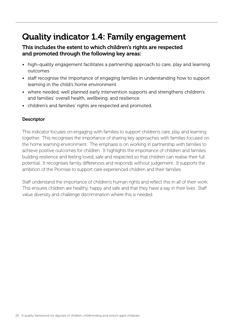# Quality indicator 1.4: Family engagement

#### This includes the extent to which children's rights are respected and promoted through the following key areas:

- high-quality engagement facilitates a partnership approach to care, play and learning outcomes
- staff recognise the importance of engaging families in understanding how to support learning in the child's home environment
- where needed, well planned early intervention supports and strengthens children's and families' overall health, wellbeing, and resilience
- children's and families' rights are respected and promoted.

#### **Descriptor**

This indicator focuses on engaging with families to support children's care, play and learning together. This recognises the importance of sharing key approaches with families focused on the home learning environment. The emphasis is on working in partnership with families to achieve positive outcomes for children. It highlights the importance of children and families building resilience and feeling loved, safe and respected so that children can realise their full potential. It recognises family differences and responds without judgement. It supports the ambition of the Promise to support care experienced children and their families.

Staff understand the importance of children's human rights and reflect this in all of their work. This ensures children are healthy, happy and safe and that they have a say in their lives. Staff value diversity and challenge discrimination where this is needed.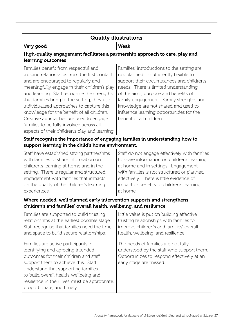### Quality illustrations

#### Very good Weak

support them to achieve this. Staff understand that supporting families to build overall health, wellbeing and

proportionate, and timely.

resilience in their lives must be appropriate,

#### High-quality engagement facilitates a partnership approach to care, play and learning outcomes

| Families benefit from respectful and<br>trusting relationships from the first contact<br>and are encouraged to regularly and<br>meaningfully engage in their children's play<br>and learning. Staff recognise the strengths<br>that families bring to the setting, they use<br>individualised approaches to capture this<br>knowledge for the benefit of all children.<br>Creative approaches are used to engage<br>families to be fully involved across all<br>aspects of their children's play and learning. | Families' introductions to the setting are<br>not planned or sufficiently flexible to<br>support their circumstances and children's<br>needs. There is limited understanding<br>of the aims, purpose and benefits of<br>family engagement. Family strengths and<br>knowledge are not shared and used to<br>influence learning opportunities for the<br>benefit of all children. |
|----------------------------------------------------------------------------------------------------------------------------------------------------------------------------------------------------------------------------------------------------------------------------------------------------------------------------------------------------------------------------------------------------------------------------------------------------------------------------------------------------------------|---------------------------------------------------------------------------------------------------------------------------------------------------------------------------------------------------------------------------------------------------------------------------------------------------------------------------------------------------------------------------------|
| Staff recognise the importance of engaging families in understanding how to<br>support learning in the child's home environment.                                                                                                                                                                                                                                                                                                                                                                               |                                                                                                                                                                                                                                                                                                                                                                                 |
| Staff have established strong partnerships                                                                                                                                                                                                                                                                                                                                                                                                                                                                     | Staff do not engage effectively with families                                                                                                                                                                                                                                                                                                                                   |
| with families to share information on                                                                                                                                                                                                                                                                                                                                                                                                                                                                          | to share information on children's learning                                                                                                                                                                                                                                                                                                                                     |
| children's learning at home and in the                                                                                                                                                                                                                                                                                                                                                                                                                                                                         | at home and in settings. Engagement                                                                                                                                                                                                                                                                                                                                             |
| setting. There is regular and structured                                                                                                                                                                                                                                                                                                                                                                                                                                                                       | with families is not structured or planned                                                                                                                                                                                                                                                                                                                                      |
| engagement with families that impacts                                                                                                                                                                                                                                                                                                                                                                                                                                                                          | effectively. There is little evidence of                                                                                                                                                                                                                                                                                                                                        |
| on the quality of the children's learning                                                                                                                                                                                                                                                                                                                                                                                                                                                                      | impact or benefits to children's learning                                                                                                                                                                                                                                                                                                                                       |
| experiences.                                                                                                                                                                                                                                                                                                                                                                                                                                                                                                   | at home.                                                                                                                                                                                                                                                                                                                                                                        |
| Where needed, well planned early intervention supports and strengthens<br>children's and families' overall health, wellbeing, and resilience                                                                                                                                                                                                                                                                                                                                                                   |                                                                                                                                                                                                                                                                                                                                                                                 |
| Families are supported to build trusting                                                                                                                                                                                                                                                                                                                                                                                                                                                                       | Little value is put on building effective                                                                                                                                                                                                                                                                                                                                       |
| relationships at the earliest possible stage.                                                                                                                                                                                                                                                                                                                                                                                                                                                                  | trusting relationships with families to                                                                                                                                                                                                                                                                                                                                         |
| Staff recognise that families need the time                                                                                                                                                                                                                                                                                                                                                                                                                                                                    | improve children's and families' overall                                                                                                                                                                                                                                                                                                                                        |
| and space to build secure relationships.                                                                                                                                                                                                                                                                                                                                                                                                                                                                       | health, wellbeing, and resilience.                                                                                                                                                                                                                                                                                                                                              |
| Families are active participants in                                                                                                                                                                                                                                                                                                                                                                                                                                                                            | The needs of families are not fully                                                                                                                                                                                                                                                                                                                                             |
| identifying and agreeing intended                                                                                                                                                                                                                                                                                                                                                                                                                                                                              | understood by the staff who support them.                                                                                                                                                                                                                                                                                                                                       |
| outcomes for their children and staff                                                                                                                                                                                                                                                                                                                                                                                                                                                                          | Opportunities to respond effectively at an                                                                                                                                                                                                                                                                                                                                      |

Opportunities to respond effectively at an early stage are missed.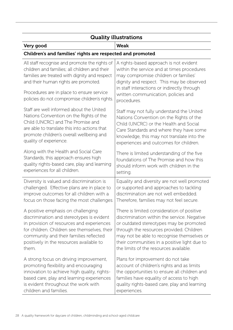| <b>Quality illustrations</b>                                                                                                                                                                                                                                                          |                                                                                                                                                                                                                                                                                |  |
|---------------------------------------------------------------------------------------------------------------------------------------------------------------------------------------------------------------------------------------------------------------------------------------|--------------------------------------------------------------------------------------------------------------------------------------------------------------------------------------------------------------------------------------------------------------------------------|--|
| Very good                                                                                                                                                                                                                                                                             | <b>Weak</b>                                                                                                                                                                                                                                                                    |  |
| Children's and families' rights are respected and promoted                                                                                                                                                                                                                            |                                                                                                                                                                                                                                                                                |  |
| All staff recognise and promote the rights of<br>children and families; all children and their<br>families are treated with dignity and respect<br>and their human rights are promoted.<br>Procedures are in place to ensure service<br>policies do not compromise children's rights. | A rights-based approach is not evident<br>within the service and at times procedures<br>may compromise children or families'<br>dignity and respect. This may be observed<br>in staff interactions or indirectly through<br>written communication, policies and<br>procedures. |  |
| Staff are well informed about the United                                                                                                                                                                                                                                              | Staff may not fully understand the United                                                                                                                                                                                                                                      |  |
| Nations Convention on the Rights of the                                                                                                                                                                                                                                               | Nations Convention on the Rights of the                                                                                                                                                                                                                                        |  |
| Child (UNCRC) and The Promise and                                                                                                                                                                                                                                                     | Child (UNCRC) or the Health and Social                                                                                                                                                                                                                                         |  |
| are able to translate this into actions that                                                                                                                                                                                                                                          | Care Standards and where they have some                                                                                                                                                                                                                                        |  |
| promote children's overall wellbeing and                                                                                                                                                                                                                                              | knowledge, this may not translate into the                                                                                                                                                                                                                                     |  |
| quality of experience.                                                                                                                                                                                                                                                                | experiences and outcomes for children.                                                                                                                                                                                                                                         |  |
| Along with the Health and Social Care                                                                                                                                                                                                                                                 | There is limited understanding of the five                                                                                                                                                                                                                                     |  |
| Standards, this approach ensures high                                                                                                                                                                                                                                                 | foundations of The Promise and how this                                                                                                                                                                                                                                        |  |
| quality rights-based care, play and learning                                                                                                                                                                                                                                          | should inform work with children in the                                                                                                                                                                                                                                        |  |
| experiences for all children.                                                                                                                                                                                                                                                         | setting.                                                                                                                                                                                                                                                                       |  |
| Diversity is valued and discrimination is                                                                                                                                                                                                                                             | Equality and diversity are not well promoted                                                                                                                                                                                                                                   |  |
| challenged. Effective plans are in place to                                                                                                                                                                                                                                           | or supported and approaches to tackling                                                                                                                                                                                                                                        |  |
| improve outcomes for all children with a                                                                                                                                                                                                                                              | discrimination are not well embedded.                                                                                                                                                                                                                                          |  |
| focus on those facing the most challenges.                                                                                                                                                                                                                                            | Therefore, families may not feel secure.                                                                                                                                                                                                                                       |  |
| A positive emphasis on challenging                                                                                                                                                                                                                                                    | There is limited consideration of positive                                                                                                                                                                                                                                     |  |
| discrimination and stereotypes is evident                                                                                                                                                                                                                                             | discrimination within the service. Negative                                                                                                                                                                                                                                    |  |
| in provision of resources and experiences                                                                                                                                                                                                                                             | or outdated stereotypes may be promoted                                                                                                                                                                                                                                        |  |
| for children. Children see themselves, their                                                                                                                                                                                                                                          | through the resources provided. Children                                                                                                                                                                                                                                       |  |
| community and their families reflected                                                                                                                                                                                                                                                | may not be able to recognise themselves or                                                                                                                                                                                                                                     |  |
| positively in the resources available to                                                                                                                                                                                                                                              | their communities in a positive light due to                                                                                                                                                                                                                                   |  |
| them.                                                                                                                                                                                                                                                                                 | the limits of the resources available.                                                                                                                                                                                                                                         |  |
| A strong focus on driving improvement,                                                                                                                                                                                                                                                | Plans for improvement do not take                                                                                                                                                                                                                                              |  |
| promoting flexibility and encouraging                                                                                                                                                                                                                                                 | account of children's rights and as limits                                                                                                                                                                                                                                     |  |
| innovation to achieve high quality, rights-                                                                                                                                                                                                                                           | the opportunities to ensure all children and                                                                                                                                                                                                                                   |  |
| based care, play and learning experiences                                                                                                                                                                                                                                             | families have equality of access to high                                                                                                                                                                                                                                       |  |
| is evident throughout the work with                                                                                                                                                                                                                                                   | quality rights-based care, play and learning                                                                                                                                                                                                                                   |  |
| children and families.                                                                                                                                                                                                                                                                | experiences.                                                                                                                                                                                                                                                                   |  |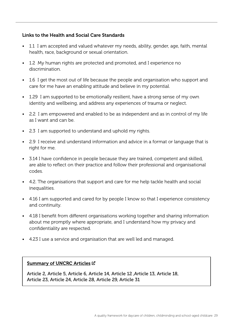#### Links to the Health and Social Care Standards

- 1.1 I am accepted and valued whatever my needs, ability, gender, age, faith, mental health, race, background or sexual orientation.
- 1.2 My human rights are protected and promoted, and I experience no discrimination.
- 1.6 I get the most out of life because the people and organisation who support and care for me have an enabling attitude and believe in my potential.
- 1.29 I am supported to be emotionally resilient, have a strong sense of my own identity and wellbeing, and address any experiences of trauma or neglect.
- 2.2 I am empowered and enabled to be as independent and as in control of my life as I want and can be.
- 2.3 I am supported to understand and uphold my rights.
- 2.9 I receive and understand information and advice in a format or language that is right for me.
- 3.14 I have confidence in people because they are trained, competent and skilled, are able to reflect on their practice and follow their professional and organisational codes.
- 4.2. The organisations that support and care for me help tackle health and social inequalities.
- 4.16 I am supported and cared for by people I know so that I experience consistency and continuity.
- 4.18 I benefit from different organisations working together and sharing information about me promptly where appropriate, and I understand how my privacy and confidentiality are respected.
- 4.23 I use a service and organisation that are well led and managed.

#### [Summary of UNCRC Articles](https://www.unicef.org.uk/wp-content/uploads/2010/05/UNCRC_summary-1.pdf) C

Article 2, Article 5, Article 6, Article 14, Article 12 ,Article 13, Article 18, Article 23, Article 24, Article 28, Article 29, Article 31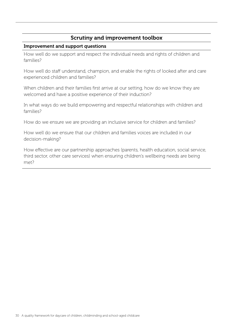#### Improvement and support questions

How well do we support and respect the individual needs and rights of children and families?

How well do staff understand, champion, and enable the rights of looked after and care experienced children and families?

When children and their families first arrive at our setting, how do we know they are welcomed and have a positive experience of their induction?

In what ways do we build empowering and respectful relationships with children and families?

How do we ensure we are providing an inclusive service for children and families?

How well do we ensure that our children and families voices are included in our decision-making?

How effective are our partnership approaches (parents, health education, social service, third sector, other care services) when ensuring children's wellbeing needs are being met?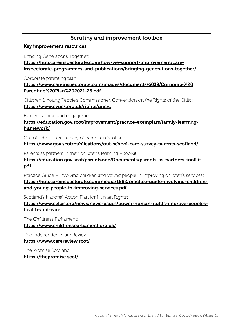#### Key improvement resources

Bringing Generations Together:

[https://hub.careinspectorate.com/how-we-support-improvement/care](https://hub.careinspectorate.com/how-we-support-improvement/care-inspectorate-programmes-and-publications/bringing-generations-together/)[inspectorate-programmes-and-publications/bringing-generations-together/](https://hub.careinspectorate.com/how-we-support-improvement/care-inspectorate-programmes-and-publications/bringing-generations-together/)

Corporate parenting plan:

[https://www.careinspectorate.com/images/documents/6039/Corporate%20](https://www.careinspectorate.com/images/documents/6039/Corporate%20Parenting%20Plan%202021-23.pdf) [Parenting%20Plan%202021-23.pdf](https://www.careinspectorate.com/images/documents/6039/Corporate%20Parenting%20Plan%202021-23.pdf)

Children & Young People's Commissioner, Convention on the Rights of the Child: <https://www.cypcs.org.uk/rights/uncrc>

Family learning and engagement:

[https://education.gov.scot/improvement/practice-exemplars/family-learning](https://education.gov.scot/improvement/practice-exemplars/family-learning-framework/)[framework/](https://education.gov.scot/improvement/practice-exemplars/family-learning-framework/)

Out of school care, survey of parents in Scotland:

<https://www.gov.scot/publications/out-school-care-survey-parents-scotland/>

Parents as partners in their children's learning – toolkit:

[https://education.gov.scot/parentzone/Documents/parents-as-partners-toolkit.](https://education.gov.scot/parentzone/Documents/parents-as-partners-toolkit.pdf) [pdf](https://education.gov.scot/parentzone/Documents/parents-as-partners-toolkit.pdf)

Practice Guide – involving children and young people in improving children's services: [https://hub.careinspectorate.com/media/1582/practice-guide-involving-children](https://hub.careinspectorate.com/media/1582/practice-guide-involving-children-and-young-people-in-improving-services.pdf)[and-young-people-in-improving-services.pdf](https://hub.careinspectorate.com/media/1582/practice-guide-involving-children-and-young-people-in-improving-services.pdf)

Scotland's National Action Plan for Human Rights:

[https://www.celcis.org/news/news-pages/power-human-rights-improve-peoples](https://www.celcis.org/news/news-pages/power-human-rights-improve-peoples-health-and-care)[health-and-care](https://www.celcis.org/news/news-pages/power-human-rights-improve-peoples-health-and-care)

The Children's Parliament: <https://www.childrensparliament.org.uk/>

The Independent Care Review: <https://www.carereview.scot/>

The Promise Scotland: <https://thepromise.scot/>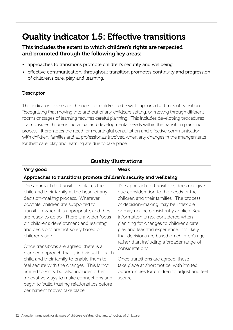# Quality indicator 1.5: Effective transitions

### This includes the extent to which children's rights are respected and promoted through the following key areas:

- approaches to transitions promote children's security and wellbeing
- effective communication, throughout transition promotes continuity and progression of children's care, play and learning.

#### **Descriptor**

This indicator focuses on the need for children to be well supported at times of transition. Recognising that moving into and out of any childcare setting, or moving through different rooms or stages of learning requires careful planning. This includes developing procedures that consider children's individual and developmental needs within the transition planning process. It promotes the need for meaningful consultation and effective communication with children, families and all professionals involved when any changes in the arrangements for their care, play and learning are due to take place.

| <b>Quality illustrations</b>                                                                                                                                                                                                                                                                                                                                                                                                                                                                                                                                                                                                                                                                                                   |                                                                                                                                                                                                                                                                                                                                                                                                                                                                                                                                                                                                              |  |
|--------------------------------------------------------------------------------------------------------------------------------------------------------------------------------------------------------------------------------------------------------------------------------------------------------------------------------------------------------------------------------------------------------------------------------------------------------------------------------------------------------------------------------------------------------------------------------------------------------------------------------------------------------------------------------------------------------------------------------|--------------------------------------------------------------------------------------------------------------------------------------------------------------------------------------------------------------------------------------------------------------------------------------------------------------------------------------------------------------------------------------------------------------------------------------------------------------------------------------------------------------------------------------------------------------------------------------------------------------|--|
| Very good                                                                                                                                                                                                                                                                                                                                                                                                                                                                                                                                                                                                                                                                                                                      | <b>Weak</b>                                                                                                                                                                                                                                                                                                                                                                                                                                                                                                                                                                                                  |  |
| Approaches to transitions promote children's security and wellbeing                                                                                                                                                                                                                                                                                                                                                                                                                                                                                                                                                                                                                                                            |                                                                                                                                                                                                                                                                                                                                                                                                                                                                                                                                                                                                              |  |
| The approach to transitions places the<br>child and their family at the heart of any<br>decision-making process. Wherever<br>possible, children are supported to<br>transition when it is appropriate, and they<br>are ready to do so. There is a wider focus<br>on children's development and learning<br>and decisions are not solely based on<br>children's age.<br>Once transitions are agreed, there is a<br>planned approach that is individual to each<br>child and their family to enable them to<br>feel secure with the changes. This is not<br>limited to visits, but also includes other<br>innovative ways to make connections and<br>begin to build trusting relationships before<br>permanent moves take place. | The approach to transitions does not give<br>due consideration to the needs of the<br>children and their families. The process<br>of decision-making may be inflexible<br>or may not be consistently applied. Key<br>information is not considered when<br>planning for changes to children's care,<br>play and learning experience. It is likely<br>that decisions are based on children's age<br>rather than including a broader range of<br>considerations.<br>Once transitions are agreed, these<br>take place at short notice, with limited<br>opportunities for children to adjust and feel<br>secure. |  |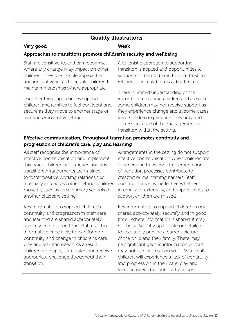| <b>Quality illustrations</b>                                                                                                                                                                                                                                                                                                                                                          |                                                                                                                                                                                                                                                                                                                                                                                                                                                                                |
|---------------------------------------------------------------------------------------------------------------------------------------------------------------------------------------------------------------------------------------------------------------------------------------------------------------------------------------------------------------------------------------|--------------------------------------------------------------------------------------------------------------------------------------------------------------------------------------------------------------------------------------------------------------------------------------------------------------------------------------------------------------------------------------------------------------------------------------------------------------------------------|
| Very good                                                                                                                                                                                                                                                                                                                                                                             | <b>Weak</b>                                                                                                                                                                                                                                                                                                                                                                                                                                                                    |
| Approaches to transitions promote children's security and wellbeing                                                                                                                                                                                                                                                                                                                   |                                                                                                                                                                                                                                                                                                                                                                                                                                                                                |
| Staff are sensitive to, and can recognise,<br>where any change may impact on other<br>children. They use flexible approaches<br>and innovative ideas to enable children to<br>maintain friendships where appropriate.<br>Together these approaches support<br>children and families to feel confident and<br>secure as they move to another stage of<br>learning or to a new setting. | A tokenistic approach to supporting<br>transition is applied and opportunities to<br>support children to begin to form trusting<br>relationships may be missed or limited.<br>There is limited understanding of the<br>impact on remaining children and as such<br>some children may not receive support as<br>they experience change and in some cases<br>loss. Children experience insecurity and<br>distress because of the management of<br>transition within the setting. |

progression of children's care, play and learning

All staff recognise the importance of effective communication and implement this when children are experiencing any transition. Arrangements are in place to foster positive working relationships internally and across other settings children move to, such as local primary schools or another childcare setting. Key information to support children's continuity and progression in their care and learning are shared appropriately, securely and in good time. Staff use this information effectively to plan for both continuity and change in children's care, play and learning needs. As a result, children are happy, stimulated and receive appropriate challenge throughout their transition. Arrangements in the setting do not support effective communication when children are experiencing transition. Implementation of transition processes contribute to creating or maintaining barriers. Staff communication is ineffective whether internally or externally, and opportunities to support children are missed. Key information to support children is not shared appropriately, securely and in good time. Where information is shared, it may not be sufficiently up to date or detailed to accurately provide a current picture of the child and their family. There may be significant gaps in information or staff may not use information well. As a result, children will experience a lack of continuity and progression in their care, play and learning needs throughout transition.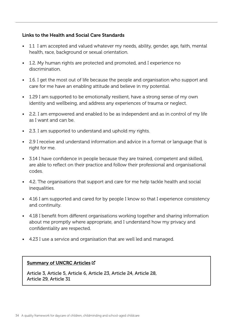#### Links to the Health and Social Care Standards

- 1.1 I am accepted and valued whatever my needs, ability, gender, age, faith, mental health, race, background or sexual orientation.
- 1.2. My human rights are protected and promoted, and I experience no discrimination.
- 1.6. I get the most out of life because the people and organisation who support and care for me have an enabling attitude and believe in my potential.
- 1.29 I am supported to be emotionally resilient, have a strong sense of my own identity and wellbeing, and address any experiences of trauma or neglect.
- 2.2. I am empowered and enabled to be as independent and as in control of my life as I want and can be.
- 2.3. I am supported to understand and uphold my rights.
- 2.9 I receive and understand information and advice in a format or language that is right for me.
- 3.14 I have confidence in people because they are trained, competent and skilled, are able to reflect on their practice and follow their professional and organisational codes.
- 4.2. The organisations that support and care for me help tackle health and social inequalities.
- 4.16 I am supported and cared for by people I know so that I experience consistency and continuity.
- 4.18 I benefit from different organisations working together and sharing information about me promptly where appropriate, and I understand how my privacy and confidentiality are respected.
- 4.23 I use a service and organisation that are well led and managed.

#### [Summary of UNCRC Articles](https://www.unicef.org.uk/wp-content/uploads/2010/05/UNCRC_summary-1.pdf) C

Article 3, Article 5, Article 6, Article 23, Article 24, Article 28, Article 29, Article 31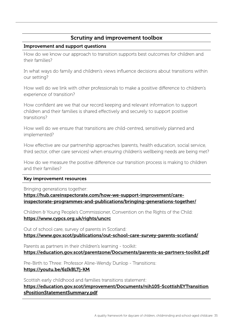#### Improvement and support questions

How do we know our approach to transition supports best outcomes for children and their families?

In what ways do family and children's views influence decisions about transitions within our setting?

How well do we link with other professionals to make a positive difference to children's experience of transition?

How confident are we that our record keeping and relevant information to support children and their families is shared effectively and securely to support positive transitions?

How well do we ensure that transitions are child-centred, sensitively planned and implemented?

How effective are our partnership approaches (parents, health education, social service, third sector, other care services) when ensuring children's wellbeing needs are being met?

How do we measure the positive difference our transition process is making to children and their families?

#### Key improvement resources

Bringing generations together:

[https://hub.careinspectorate.com/how-we-support-improvement/care](https://hub.careinspectorate.com/how-we-support-improvement/care-inspectorate-programmes-and-publications/bringing-generations-together/)[inspectorate-programmes-and-publications/bringing-generations-together/](https://hub.careinspectorate.com/how-we-support-improvement/care-inspectorate-programmes-and-publications/bringing-generations-together/)

Children & Young People's Commissioner, Convention on the Rights of the Child: <https://www.cypcs.org.uk/rights/uncrc>

Out of school care, survey of parents in Scotland: <https://www.gov.scot/publications/out-school-care-survey-parents-scotland/>

Parents as partners in their children's learning - toolkit: <https://education.gov.scot/parentzone/Documents/parents-as-partners-toolkit.pdf>

Pre-Birth to Three: Professor Aline-Wendy Dunlop - Transitions: <https://youtu.be/6zIkBLTj-KM>

Scottish early childhood and families transitions statement:

[https://education.gov.scot/improvement/Documents/nih105-ScottishEYTransition](https://education.gov.scot/improvement/Documents/nih105-ScottishEYTransitionsPositionStatementSummary.pdf) [sPositionStatementSummary.pdf](https://education.gov.scot/improvement/Documents/nih105-ScottishEYTransitionsPositionStatementSummary.pdf)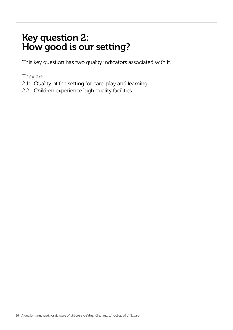# Key question 2: How good is our setting?

This key question has two quality indicators associated with it.

They are:

- 2.1: Quality of the setting for care, play and learning
- 2.2: Children experience high quality facilities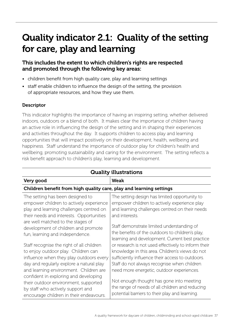# Quality indicator 2.1: Quality of the setting for care, play and learning

# This includes the extent to which children's rights are respected and promoted through the following key areas:

- children benefit from high quality care, play and learning settings
- staff enable children to influence the design of the setting, the provision of appropriate resources, and how they use them.

# **Descriptor**

This indicator highlights the importance of having an inspiring setting, whether delivered indoors, outdoors or a blend of both. It makes clear the importance of children having an active role in influencing the design of the setting and in shaping their experiences and activities throughout the day. It supports children to access play and learning opportunities that will impact positively on their development, health, wellbeing and happiness. Staff understand the importance of outdoor play for children's health and wellbeing, promoting sustainability and caring for the environment. The setting reflects a risk benefit approach to children's play, learning and development.

| <b>Quality illustrations</b>                                                                                                                                                                                      |                                                                                                                                                                                                                                                        |  |
|-------------------------------------------------------------------------------------------------------------------------------------------------------------------------------------------------------------------|--------------------------------------------------------------------------------------------------------------------------------------------------------------------------------------------------------------------------------------------------------|--|
| Very good                                                                                                                                                                                                         | <b>Weak</b>                                                                                                                                                                                                                                            |  |
| Children benefit from high quality care, play and learning settings                                                                                                                                               |                                                                                                                                                                                                                                                        |  |
| The setting has been designed to<br>empower children to actively experience<br>play and learning challenges centred on<br>their needs and interests. Opportunities                                                | The setting design has limited opportunity to<br>empower children to actively experience play<br>and learning challenges centred on their needs<br>and interests.                                                                                      |  |
| are well matched to the stages of<br>development of children and promote<br>fun, learning and independence.                                                                                                       | Staff demonstrate limited understanding of<br>the benefits of the outdoors to children's play,<br>learning and development. Current best practice                                                                                                      |  |
| Staff recognise the right of all children<br>to enjoy outdoor play. Children can<br>influence when they play outdoors every<br>day and regularly explore a natural play<br>and learning environment. Children are | or research is not used effectively to inform their<br>knowledge in this area. Children's views do not<br>sufficiently influence their access to outdoors.<br>Staff do not always recognise when children<br>need more energetic, outdoor experiences. |  |
| confident in exploring and developing<br>their outdoor environment, supported<br>by staff who actively support and<br>encourage children in their endeavours.                                                     | Not enough thought has gone into meeting<br>the range of needs of all children and reducing<br>potential barriers to their play and learning.                                                                                                          |  |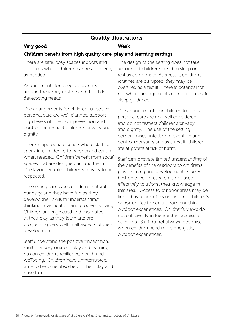| <b>Quality illustrations</b>                                                                                                                                                                                                                                                                                                |                                                                                                                                                                                                                                                                                                                                                                                         |  |
|-----------------------------------------------------------------------------------------------------------------------------------------------------------------------------------------------------------------------------------------------------------------------------------------------------------------------------|-----------------------------------------------------------------------------------------------------------------------------------------------------------------------------------------------------------------------------------------------------------------------------------------------------------------------------------------------------------------------------------------|--|
| Very good                                                                                                                                                                                                                                                                                                                   | <b>Weak</b>                                                                                                                                                                                                                                                                                                                                                                             |  |
| Children benefit from high quality care, play and learning settings                                                                                                                                                                                                                                                         |                                                                                                                                                                                                                                                                                                                                                                                         |  |
| There are safe, cosy spaces indoors and<br>outdoors where children can rest or sleep,<br>as needed.<br>Arrangements for sleep are planned<br>around the family routine and the child's                                                                                                                                      | The design of the setting does not take<br>account of children's need to sleep or<br>rest as appropriate. As a result, children's<br>routines are disrupted, they may be<br>overtired as a result. There is potential for                                                                                                                                                               |  |
| developing needs.                                                                                                                                                                                                                                                                                                           | risk where arrangements do not reflect safe<br>sleep guidance.                                                                                                                                                                                                                                                                                                                          |  |
| The arrangements for children to receive<br>personal care are well planned, support<br>high levels of infection, prevention and<br>control and respect children's privacy and<br>dignity.                                                                                                                                   | The arrangements for children to receive<br>personal care are not well considered<br>and do not respect children's privacy<br>and dignity. The use of the setting<br>compromises infection prevention and                                                                                                                                                                               |  |
| There is appropriate space where staff can<br>speak in confidence to parents and carers                                                                                                                                                                                                                                     | control measures and as a result, children<br>are at potential risk of harm.                                                                                                                                                                                                                                                                                                            |  |
| when needed. Children benefit from social<br>spaces that are designed around them.<br>The layout enables children's privacy to be<br>respected.                                                                                                                                                                             | Staff demonstrate limited understanding of<br>the benefits of the outdoors to children's<br>play, learning and development. Current<br>best practice or research is not used                                                                                                                                                                                                            |  |
| The setting stimulates children's natural<br>curiosity, and they have fun as they<br>develop their skills in understanding,<br>thinking, investigation and problem solving.<br>Children are engrossed and motivated<br>in their play as they learn and are<br>progressing very well in all aspects of their<br>development. | effectively to inform their knowledge in<br>this area. Access to outdoor areas may be<br>limited by a lack of vision, limiting children's<br>opportunities to benefit from enriching<br>outdoor experiences. Children's views do<br>not sufficiently influence their access to<br>outdoors. Staff do not always recognise<br>when children need more energetic,<br>outdoor experiences. |  |
| Staff understand the positive impact rich,<br>multi-sensory outdoor play and learning<br>has on children's resilience, health and<br>wellbeing. Children have uninterrupted<br>time to become absorbed in their play and<br>have fun.                                                                                       |                                                                                                                                                                                                                                                                                                                                                                                         |  |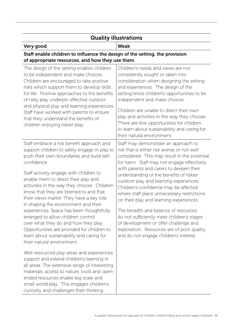| <b>Quality illustrations</b>                                                                                                                                                                                                                                                                                                                                                                                |                                                                                                                                                                                                                                                                                                                                                                                   |  |
|-------------------------------------------------------------------------------------------------------------------------------------------------------------------------------------------------------------------------------------------------------------------------------------------------------------------------------------------------------------------------------------------------------------|-----------------------------------------------------------------------------------------------------------------------------------------------------------------------------------------------------------------------------------------------------------------------------------------------------------------------------------------------------------------------------------|--|
| Very good                                                                                                                                                                                                                                                                                                                                                                                                   | <b>Weak</b>                                                                                                                                                                                                                                                                                                                                                                       |  |
| Staff enable children to influence the design of the setting, the provision<br>of appropriate resources, and how they use them                                                                                                                                                                                                                                                                              |                                                                                                                                                                                                                                                                                                                                                                                   |  |
| The design of the setting enables children<br>to be independent and make choices.<br>Children are encouraged to take positive<br>risks which support them to develop skills<br>for life. Positive approaches to the benefits<br>of risky play underpin effective outdoor<br>and physical play and learning experiences.<br>Staff have worked with parents to ensure<br>that they understand the benefits of | Children's needs and views are not<br>consistently sought or taken into<br>consideration when designing the setting<br>and experiences. The design of the<br>setting limits children's opportunities to be<br>independent and make choices.<br>Children are unable to direct their own<br>play and activities in the way they choose.<br>There are few opportunities for children |  |
| children enjoying riskier play.                                                                                                                                                                                                                                                                                                                                                                             | to learn about sustainability and caring for<br>their natural environment.                                                                                                                                                                                                                                                                                                        |  |
| Staff embrace a risk benefit approach and<br>support children to safely engage in play to<br>push their own boundaries and build self-<br>confidence.                                                                                                                                                                                                                                                       | Staff may demonstrate an approach to<br>risk that is either risk averse or not well<br>considered. This may result in the potential<br>for harm. Staff may not engage effectively                                                                                                                                                                                                 |  |
| Staff actively engage with children to<br>enable them to direct their play and<br>activities in the way they choose. Children<br>know that they are listened to and that<br>their views matter. They have a key role<br>in shaping the environment and their                                                                                                                                                | with parents and carers to deepen their<br>understanding of the benefits of riskier<br>outdoor play and learning experiences.<br>Children's confidence may be affected<br>where staff place unnecessary restrictions<br>on their play and learning experiences.                                                                                                                   |  |
| experiences. Space has been thoughtfully<br>arranged to allow children control<br>over what they do and how they play.<br>Opportunities are provided for children to<br>learn about sustainability and caring for<br>their natural environment.                                                                                                                                                             | The breadth and balance of resources<br>do not sufficiently meet children's stages<br>of development or offer challenge and<br>exploration. Resources are of poor quality<br>and do not engage children's interest.                                                                                                                                                               |  |
| Well-resourced play areas and experiences<br>support and extend children's learning in<br>all areas. The extensive range of interesting<br>materials, access to nature, tools and open-<br>ended resources enable big scale and<br>small world play. This engages children's<br>curiosity and challenges their thinking.                                                                                    |                                                                                                                                                                                                                                                                                                                                                                                   |  |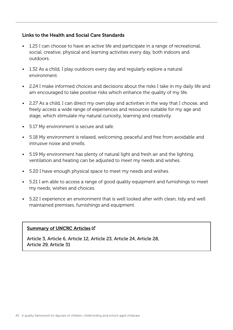#### Links to the Health and Social Care Standards

- 1.25 I can choose to have an active life and participate in a range of recreational, social, creative, physical and learning activities every day, both indoors and outdoors.
- 1.32 As a child, I play outdoors every day and regularly explore a natural environment.
- 2.24 I make informed choices and decisions about the risks I take in my daily life and am encouraged to take positive risks which enhance the quality of my life.
- 2.27 As a child, I can direct my own play and activities in the way that I choose, and freely access a wide range of experiences and resources suitable for my age and stage, which stimulate my natural curiosity, learning and creativity.
- 5.17 My environment is secure and safe.
- 5.18 My environment is relaxed, welcoming, peaceful and free from avoidable and intrusive noise and smells.
- 5.19 My environment has plenty of natural light and fresh air and the lighting, ventilation and heating can be adjusted to meet my needs and wishes.
- 5.20 I have enough physical space to meet my needs and wishes.
- 5.21 I am able to access a range of good quality equipment and furnishings to meet my needs, wishes and choices.
- 5.22 I experience an environment that is well looked after with clean, tidy and well maintained premises, furnishings and equipment.

### [Summary of UNCRC Articles](https://www.unicef.org.uk/wp-content/uploads/2010/05/UNCRC_summary-1.pdf) C

Article 3, Article 6, Article 12, Article 23, Article 24, Article 28, Article 29, Article 31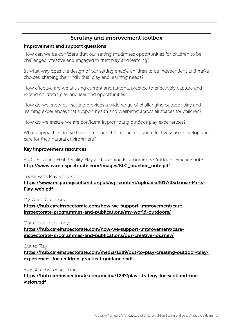# Scrutiny and improvement toolbox

#### Improvement and support questions

How can we be confident that our setting maximises opportunities for children to be challenged, creative and engaged in their play and learning?

In what way does the design of our setting enable children to be independent and make choices, shaping their individual play and learning needs?

How effective are we at using current and national practice to effectively capture and extend children's play and learning opportunities?

How do we know our setting provides a wide range of challenging outdoor play and learning experiences that support health and wellbeing across all spaces for children?

How do we ensure we are confident in promoting outdoor play experiences?

What approaches do we have to ensure children access and effectively use, develop and care for their natural environment?

#### Key improvement resources

ELC: Delivering High Quality Play and Learning Environments Outdoors. Practice note: [http://www.careinspectorate.com/images/ELC\\_practice\\_note.pdf](http://www.careinspectorate.com/images/ELC_practice_note.pdf)

### Loose Parts Play - toolkit:

[https://www.inspiringscotland.org.uk/wp-content/uploads/2017/03/Loose-Parts-](https://www.inspiringscotland.org.uk/wp-content/uploads/2017/03/Loose-Parts-Play-web.pdf)[Play-web.pdf](https://www.inspiringscotland.org.uk/wp-content/uploads/2017/03/Loose-Parts-Play-web.pdf)

#### My World Outdoors:

[https://hub.careinspectorate.com/how-we-support-improvement/care](https://hub.careinspectorate.com/how-we-support-improvement/care-inspectorate-programmes-and-publications/my-world-outdoors/
)[inspectorate-programmes-and-publications/my-world-outdoors/](https://hub.careinspectorate.com/how-we-support-improvement/care-inspectorate-programmes-and-publications/my-world-outdoors/
)

Our Creative Journey:

[https://hub.careinspectorate.com/how-we-support-improvement/care](https://hub.careinspectorate.com/how-we-support-improvement/care-inspectorate-programmes-and-publications/our-creative-journey/)[inspectorate-programmes-and-publications/our-creative-journey/](https://hub.careinspectorate.com/how-we-support-improvement/care-inspectorate-programmes-and-publications/our-creative-journey/)

Out to Play:

[https://hub.careinspectorate.com/media/1289/out-to-play-creating-outdoor-play](https://hub.careinspectorate.com/media/1289/out-to-play-creating-outdoor-play-experiences-for-children-practical-guidance.pdf)[experiences-for-children-practical-guidance.pdf](https://hub.careinspectorate.com/media/1289/out-to-play-creating-outdoor-play-experiences-for-children-practical-guidance.pdf)

Play Strategy for Scotland:

[https://hub.careinspectorate.com/media/1297/play-strategy-for-scotland-our](https://hub.careinspectorate.com/media/1297/play-strategy-for-scotland-our-vision.pdf)[vision.pdf](https://hub.careinspectorate.com/media/1297/play-strategy-for-scotland-our-vision.pdf)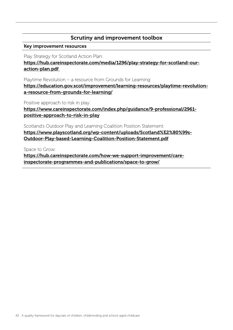# Scrutiny and improvement toolbox

#### Key improvement resources

Play Strategy for Scotland Action Plan:

[https://hub.careinspectorate.com/media/1296/play-strategy-for-scotland-our](https://hub.careinspectorate.com/media/1296/play-strategy-for-scotland-our-action-plan.pdf)[action-plan.pdf](https://hub.careinspectorate.com/media/1296/play-strategy-for-scotland-our-action-plan.pdf)

Playtime Revolution – a resource from Grounds for Learning:

[https://education.gov.scot/improvement/learning-resources/playtime-revolution](https://education.gov.scot/improvement/learning-resources/playtime-revolution-a-resource-from-grounds-for-learning/)[a-resource-from-grounds-for-learning/](https://education.gov.scot/improvement/learning-resources/playtime-revolution-a-resource-from-grounds-for-learning/)

Positive approach to risk in play:

[https://www.careinspectorate.com/index.php/guidance/9-professional/2961](https://www.careinspectorate.com/index.php/guidance/9-professional/2961-positive-approach-to-risk-in-play) [positive-approach-to-risk-in-play](https://www.careinspectorate.com/index.php/guidance/9-professional/2961-positive-approach-to-risk-in-play)

Scotland's Outdoor Play and Learning Coalition Position Statement: [https://www.playscotland.org/wp-content/uploads/Scotland%E2%80%99s-](https://www.playscotland.org/wp-content/uploads/Scotland%E2%80%99s-Outdoor-Play-based-Learning-Coalition-Position-Statement.pdf)[Outdoor-Play-based-Learning-Coalition-Position-Statement.pdf](https://www.playscotland.org/wp-content/uploads/Scotland%E2%80%99s-Outdoor-Play-based-Learning-Coalition-Position-Statement.pdf)

Space to Grow:

[https://hub.careinspectorate.com/how-we-support-improvement/care](https://hub.careinspectorate.com/how-we-support-improvement/care-inspectorate-programmes-and-publications/space-to-grow/)[inspectorate-programmes-and-publications/space-to-grow/](https://hub.careinspectorate.com/how-we-support-improvement/care-inspectorate-programmes-and-publications/space-to-grow/)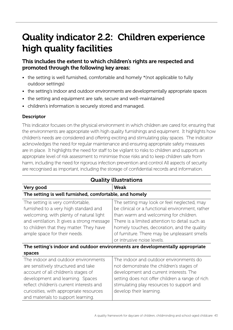# Quality indicator 2.2: Children experience high quality facilities

This includes the extent to which children's rights are respected and promoted through the following key areas:

- the setting is well furnished, comfortable and homely \* (not applicable to fully outdoor settings)
- the setting's indoor and outdoor environments are developmentally appropriate spaces
- the setting and equipment are safe, secure and well-maintained
- children's information is securely stored and managed.

# **Descriptor**

This indicator focuses on the physical environment in which children are cared for, ensuring that the environments are appropriate with high quality furnishings and equipment. It highlights how children's needs are considered and offering exciting and stimulating play spaces. The indicator acknowledges the need for regular maintenance and ensuring appropriate safety measures are in place. It highlights the need for staff to be vigilant to risks to children and supports an appropriate level of risk assessment to minimise those risks and to keep children safe from harm, including the need for rigorous infection prevention and control All aspects of security are recognised as important, including the storage of confidential records and information.

| <b>Quality illustrations</b>                                                                                                                                                                                                                                                       |                                                                                                                                                                                                                                                                                                                        |  |
|------------------------------------------------------------------------------------------------------------------------------------------------------------------------------------------------------------------------------------------------------------------------------------|------------------------------------------------------------------------------------------------------------------------------------------------------------------------------------------------------------------------------------------------------------------------------------------------------------------------|--|
| Very good                                                                                                                                                                                                                                                                          | <b>Weak</b>                                                                                                                                                                                                                                                                                                            |  |
| The setting is well furnished, comfortable, and homely                                                                                                                                                                                                                             |                                                                                                                                                                                                                                                                                                                        |  |
| The setting is very comfortable,<br>furnished to a very high standard and<br>welcoming, with plenty of natural light<br>and ventilation. It gives a strong message<br>to children that they matter. They have<br>ample space for their needs.                                      | The setting may look or feel neglected, may<br>be clinical or a functional environment, rather<br>than warm and welcoming for children.<br>There is a limited attention to detail such as<br>homely touches, decoration, and the quality<br>of furniture. There may be unpleasant smells<br>or intrusive noise levels. |  |
| The setting's indoor and outdoor environments are developmentally appropriate<br>spaces                                                                                                                                                                                            |                                                                                                                                                                                                                                                                                                                        |  |
| The indoor and outdoor environments<br>are sensitively structured and take<br>account of all children's stages of<br>development and learning. Spaces<br>reflect children's current interests and<br>curiosities, with appropriate resources<br>and materials to support learning. | The indoor and outdoor environments do<br>not demonstrate the children's stages of<br>development and current interests. The<br>setting does not offer children a range of rich<br>stimulating play resources to support and<br>develop their learning.                                                                |  |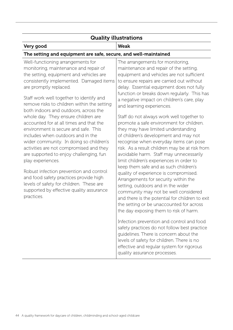| <b>Quality illustrations</b>                                                                                                                                                                                                                                                                                                                                                                                                                                                                                                                                                                                                                                                                                                                                                                                                                   |                                                                                                                                                                                                                                                                                                                                                                                                                                                                                                                                                                                                                                                                                                                                                                                                                                                                                                                                                                                                                                                                                                                                                                                                                                                                                                                            |  |
|------------------------------------------------------------------------------------------------------------------------------------------------------------------------------------------------------------------------------------------------------------------------------------------------------------------------------------------------------------------------------------------------------------------------------------------------------------------------------------------------------------------------------------------------------------------------------------------------------------------------------------------------------------------------------------------------------------------------------------------------------------------------------------------------------------------------------------------------|----------------------------------------------------------------------------------------------------------------------------------------------------------------------------------------------------------------------------------------------------------------------------------------------------------------------------------------------------------------------------------------------------------------------------------------------------------------------------------------------------------------------------------------------------------------------------------------------------------------------------------------------------------------------------------------------------------------------------------------------------------------------------------------------------------------------------------------------------------------------------------------------------------------------------------------------------------------------------------------------------------------------------------------------------------------------------------------------------------------------------------------------------------------------------------------------------------------------------------------------------------------------------------------------------------------------------|--|
| Very good                                                                                                                                                                                                                                                                                                                                                                                                                                                                                                                                                                                                                                                                                                                                                                                                                                      | <b>Weak</b>                                                                                                                                                                                                                                                                                                                                                                                                                                                                                                                                                                                                                                                                                                                                                                                                                                                                                                                                                                                                                                                                                                                                                                                                                                                                                                                |  |
| The setting and equipment are safe, secure, and well-maintained                                                                                                                                                                                                                                                                                                                                                                                                                                                                                                                                                                                                                                                                                                                                                                                |                                                                                                                                                                                                                                                                                                                                                                                                                                                                                                                                                                                                                                                                                                                                                                                                                                                                                                                                                                                                                                                                                                                                                                                                                                                                                                                            |  |
| Well-functioning arrangements for<br>monitoring, maintenance and repair of<br>the setting, equipment and vehicles are<br>consistently implemented. Damaged items<br>are promptly replaced.<br>Staff work well together to identify and<br>remove risks to children within the setting<br>both indoors and outdoors, across the<br>whole day. They ensure children are<br>accounted for at all times and that the<br>environment is secure and safe. This<br>includes when outdoors and in the<br>wider community. In doing so children's<br>activities are not compromised and they<br>are supported to enjoy challenging, fun<br>play experiences.<br>Robust infection prevention and control<br>and food safety practices provide high<br>levels of safety for children. These are<br>supported by effective quality assurance<br>practices. | The arrangements for monitoring,<br>maintenance and repair of the setting,<br>equipment and vehicles are not sufficient<br>to ensure repairs are carried out without<br>delay. Essential equipment does not fully<br>function or breaks down regularly. This has<br>a negative impact on children's care, play<br>and learning experiences.<br>Staff do not always work well together to<br>promote a safe environment for children.<br>they may have limited understanding<br>of children's development and may not<br>recognise when everyday items can pose<br>risk. As a result children may be at risk from<br>avoidable harm. Staff may unnecessarily<br>limit children's experiences in order to<br>keep them safe and as such children's<br>quality of experience is compromised.<br>Arrangements for security within the<br>setting, outdoors and in the wider<br>community may not be well considered<br>and there is the potential for children to exit<br>the setting or be unaccounted for across<br>the day exposing them to risk of harm.<br>Infection prevention and control and food<br>safety practices do not follow best practice<br>quidelines. There is concern about the<br>levels of safety for children. There is no<br>effective and regular system for rigorous<br>quality assurance processes. |  |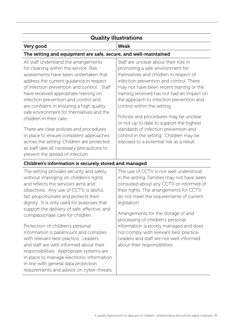|                                                                                                                                                                                                                                                                                                                                                                                                                                                                                                                                                                                                                                            | <b>Quality illustrations</b>                                                                                                                                                                                                                                                                                                                                                                                                                                                                                                                              |
|--------------------------------------------------------------------------------------------------------------------------------------------------------------------------------------------------------------------------------------------------------------------------------------------------------------------------------------------------------------------------------------------------------------------------------------------------------------------------------------------------------------------------------------------------------------------------------------------------------------------------------------------|-----------------------------------------------------------------------------------------------------------------------------------------------------------------------------------------------------------------------------------------------------------------------------------------------------------------------------------------------------------------------------------------------------------------------------------------------------------------------------------------------------------------------------------------------------------|
| Very good                                                                                                                                                                                                                                                                                                                                                                                                                                                                                                                                                                                                                                  | <b>Weak</b>                                                                                                                                                                                                                                                                                                                                                                                                                                                                                                                                               |
| The setting and equipment are safe, secure, and well-maintained                                                                                                                                                                                                                                                                                                                                                                                                                                                                                                                                                                            |                                                                                                                                                                                                                                                                                                                                                                                                                                                                                                                                                           |
| All staff understand the arrangements<br>for cleaning within the service. Risk<br>assessments have been undertaken that<br>address the current guidance in respect<br>of infection prevention and control. Staff<br>have received appropriate training on<br>infection prevention and control and<br>are confident in ensuring a high quality<br>safe environment for themselves and the<br>children in their care.<br>There are clear policies and procedures<br>in place to ensure consistent approaches<br>across the setting. Children are protected<br>as staff take all necessary precautions to<br>prevent the spread of infection. | Staff are unclear about their role in<br>promoting a safe environment for<br>themselves and children in respect of<br>infection prevention and control. There<br>may not have been recent training or the<br>training received has not had an impact on<br>the approach to infection prevention and<br>control within the setting.<br>Policies and procedures may be unclear,<br>or not up to date to support the highest<br>standards of infection prevention and<br>control in the setting. Children may be<br>exposed to a potential risk as a result. |

# Children's information is securely stored and managed

The setting provides security and safety without impinging on children's rights and reflects the service's aims and objectives. Any use of CCTV, is lawful, fair, proportionate and protects their dignity. It is only used for purposes that support the delivery of safe, effective, and compassionate care for children.

Protection of children's personal information is paramount and complies with relevant best practice. Leaders and staff are well-informed about their responsibilities. Appropriate systems are in place to manage electronic information in line with general data protection requirements and advice on cyber-threats.

The use of CCTV is not well understood in the setting. Families may not have been consulted about any CCTV or informed of their rights. The arrangements for CCTV do not meet the requirements of current legislation.

Arrangements for the storage of and processing of children's personal information is poorly managed and does not comply with relevant best practice. Leaders and staff are not well-informed about their responsibilities.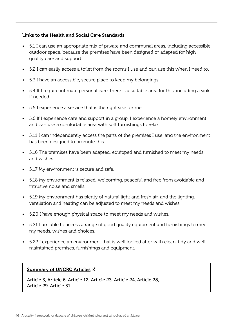### Links to the Health and Social Care Standards

- 5.1 I can use an appropriate mix of private and communal areas, including accessible outdoor space, because the premises have been designed or adapted for high quality care and support.
- 5.2 I can easily access a toilet from the rooms I use and can use this when I need to.
- 5.3 I have an accessible, secure place to keep my belongings.
- 5.4 If I require intimate personal care, there is a suitable area for this, including a sink if needed.
- 5.5 I experience a service that is the right size for me.
- 5.6 If I experience care and support in a group, I experience a homely environment and can use a comfortable area with soft furnishings to relax.
- 5.11 I can independently access the parts of the premises I use, and the environment has been designed to promote this.
- 5.16 The premises have been adapted, equipped and furnished to meet my needs and wishes.
- 5.17 My environment is secure and safe.
- 5.18 My environment is relaxed, welcoming, peaceful and free from avoidable and intrusive noise and smells.
- 5.19 My environment has plenty of natural light and fresh air, and the lighting, ventilation and heating can be adjusted to meet my needs and wishes.
- 5.20 I have enough physical space to meet my needs and wishes.
- 5.21 I am able to access a range of good quality equipment and furnishings to meet my needs, wishes and choices.
- 5.22 I experience an environment that is well looked after with clean, tidy and well maintained premises, furnishings and equipment.

### [Summary of UNCRC Articles](https://www.unicef.org.uk/wp-content/uploads/2010/05/UNCRC_summary-1.pdf) C

Article 3, Article 6, Article 12, Article 23, Article 24, Article 28, Article 29, Article 31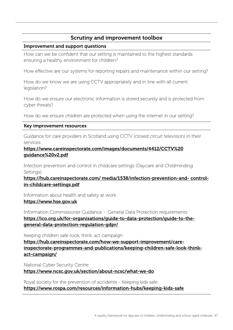# Scrutiny and improvement toolbox

#### Improvement and support questions

How can we be confident that our setting is maintained to the highest standards ensuring a healthy environment for children?

How effective are our systems for reporting repairs and maintenance within our setting?

How do we know we are using CCTV appropriately and in line with all current legislation?

How do we ensure our electronic information is stored securely and is protected from cyber threats?

How do we ensure children are protected when using the internet in our setting?

#### Key improvement resources

Guidance for care providers in Scotland using CCTV (closed circuit television) in their services:

[https://www.careinspectorate.com/images/documents/4412/CCTV%20](https://www.careinspectorate.com/images/documents/4412/CCTV%20guidance%20v2.pdf) [guidance%20v2.pdf](https://www.careinspectorate.com/images/documents/4412/CCTV%20guidance%20v2.pdf)

Infection prevention and control in childcare settings (Daycare and Childminding Settings):

[https://hub.careinspectorate.com/ media/1538/infection-prevention-and- control](https://hub.careinspectorate.com/media/1538/infection-prevention-and-control-in-childcare-settings.pdf)[in-childcare-settings.pdf](https://hub.careinspectorate.com/media/1538/infection-prevention-and-control-in-childcare-settings.pdf)

Information about health and safety at work:

#### <https://www.hse.gov.uk>

Information Commissioner Guidance - General Data Protection requirements: [https://ico.org.uk/for-organisations/guide-to-data-protection/guide-to-the](https://ico.org.uk/for-organisations/guide-to-data-protection/guide-to-the-general-data-protection-regulation-gdpr/)[general-data-protection-regulation-gdpr/](https://ico.org.uk/for-organisations/guide-to-data-protection/guide-to-the-general-data-protection-regulation-gdpr/)

Keeping children safe-look, think, act campaign:

[https://hub.careinspectorate.com/how-we-support-improvement/care](https://hub.careinspectorate.com/how-we-support-improvement/care-inspectorate-programmes-and-publications/keeping-children-safe-look-think-act-campaign/)[inspectorate-programmes-and-publications/keeping-children-safe-look-think](https://hub.careinspectorate.com/how-we-support-improvement/care-inspectorate-programmes-and-publications/keeping-children-safe-look-think-act-campaign/)[act-campaign/](https://hub.careinspectorate.com/how-we-support-improvement/care-inspectorate-programmes-and-publications/keeping-children-safe-look-think-act-campaign/)

National Cyber Security Centre:

<https://www.ncsc.gov.uk/section/about-ncsc/what-we-do>

Royal society for the prevention of accidents - Keeping kids safe: <https://www.rospa.com/resources/information-hubs/keeping-kids-safe>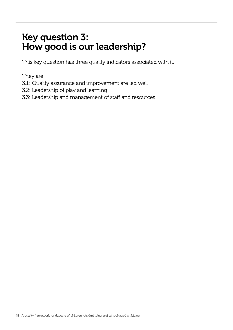# Key question 3: How good is our leadership?

This key question has three quality indicators associated with it.

They are:

- 3.1: Quality assurance and improvement are led well
- 3.2: Leadership of play and learning
- 3.3: Leadership and management of staff and resources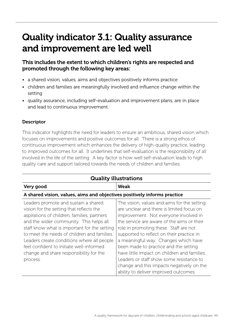# Quality indicator 3.1: Quality assurance and improvement are led well

# This includes the extent to which children's rights are respected and promoted through the following key areas:

- a shared vision, values, aims and objectives positively informs practice
- children and families are meaningfully involved and influence change within the setting
- quality assurance, including self-evaluation and improvement plans, are in place and lead to continuous improvement.

# **Descriptor**

This indicator highlights the need for leaders to ensure an ambitious, shared vision which focuses on improvements and positive outcomes for all. There is a strong ethos of continuous improvement which enhances the delivery of high-quality practice, leading to improved outcomes for all. It underlines that self-evaluation is the responsibility of all involved in the life of the setting. A key factor is how well self-evaluation leads to high quality care and support tailored towards the needs of children and families.

| <b>Quality illustrations</b>                                                                                                                                                                                                                                                                                                                                                                                               |                                                                                                                                                                                                                                                                                                                                                                                                                                                                                                                                           |  |
|----------------------------------------------------------------------------------------------------------------------------------------------------------------------------------------------------------------------------------------------------------------------------------------------------------------------------------------------------------------------------------------------------------------------------|-------------------------------------------------------------------------------------------------------------------------------------------------------------------------------------------------------------------------------------------------------------------------------------------------------------------------------------------------------------------------------------------------------------------------------------------------------------------------------------------------------------------------------------------|--|
| Very good                                                                                                                                                                                                                                                                                                                                                                                                                  | <b>Weak</b>                                                                                                                                                                                                                                                                                                                                                                                                                                                                                                                               |  |
| A shared vision, values, aims and objectives positively informs practice                                                                                                                                                                                                                                                                                                                                                   |                                                                                                                                                                                                                                                                                                                                                                                                                                                                                                                                           |  |
| Leaders promote and sustain a shared<br>vision for the setting that reflects the<br>aspirations of children, families, partners<br>and the wider community. This helps all<br>staff know what is important for the setting<br>to meet the needs of children and families.<br>Leaders create conditions where all people<br>feel confident to initiate well-informed<br>change and share responsibility for the<br>process. | The vision, values and aims for the setting<br>are unclear and there is limited focus on<br>improvement. Not everyone involved in<br>the service are aware of the aims or their<br>role in promoting these. Staff are not<br>supported to reflect on their practice in<br>a meaningful way. Changes which have<br>been made to practice and the setting<br>have little impact on children and families.<br>Leaders or staff show some resistance to<br>change and this impacts negatively on the<br>ability to deliver improved outcomes. |  |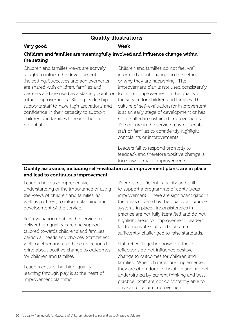# Quality illustrations

# Very good Weak

# Children and families are meaningfully involved and influence change within the setting

| Children and families views are actively      | Children and families do not feel well     |
|-----------------------------------------------|--------------------------------------------|
| sought to inform the development of           | informed about changes to the setting      |
| the setting. Successes and achievements       | or why they are happening. The             |
| are shared with children, families and        | improvement plan is not used consistently  |
| partners and are used as a starting point for | to inform improvement in the quality of    |
| future improvements. Strong leadership        | the service for children and families. The |
| supports staff to have high aspirations and   | culture of self-evaluation for improvement |
| confidence in their capacity to support       | is at an early stage of development or has |
| children and families to reach their full     | not resulted in sustained improvements.    |
| potential.                                    | The culture in the service may not enable  |
|                                               | staff or families to confidently highlight |
|                                               | complaints or improvements.                |
|                                               | Leaders fail to respond promptly to        |
|                                               | feedback and therefore positive change is  |
|                                               | too slow to make improvements.             |

# Quality assurance, including self-evaluation and improvement plans, are in place and lead to continuous improvement

| Leaders have a comprehensive                                                                                                                                                                                                                                                                                                                                                                               | There is insufficient capacity and skill                                                                                                                                                                                                                                                                                                                                                                                                                                                            |
|------------------------------------------------------------------------------------------------------------------------------------------------------------------------------------------------------------------------------------------------------------------------------------------------------------------------------------------------------------------------------------------------------------|-----------------------------------------------------------------------------------------------------------------------------------------------------------------------------------------------------------------------------------------------------------------------------------------------------------------------------------------------------------------------------------------------------------------------------------------------------------------------------------------------------|
| understanding of the importance of using                                                                                                                                                                                                                                                                                                                                                                   | to support a programme of continuous                                                                                                                                                                                                                                                                                                                                                                                                                                                                |
| the views of children and families, as                                                                                                                                                                                                                                                                                                                                                                     | improvement. There are significant gaps in                                                                                                                                                                                                                                                                                                                                                                                                                                                          |
| well as partners, to inform planning and                                                                                                                                                                                                                                                                                                                                                                   | the areas covered by the quality assurance                                                                                                                                                                                                                                                                                                                                                                                                                                                          |
| development of the service.                                                                                                                                                                                                                                                                                                                                                                                | systems in place. Inconsistencies in                                                                                                                                                                                                                                                                                                                                                                                                                                                                |
| Self-evaluation enables the service to<br>deliver high quality care and support<br>tailored towards children's and families<br>particular needs and choices. Staff reflect<br>well together and use these reflections to<br>bring about positive change to outcomes<br>for children and families.<br>Leaders ensure that high-quality<br>learning through play is at the heart of<br>improvement planning. | practice are not fully identified and do not<br>highlight areas for improvement. Leaders<br>fail to motivate staff and staff are not<br>sufficiently challenged to raise standards.<br>Staff reflect together however, these<br>reflections do not influence positive<br>change to outcomes for children and<br>families. When changes are implemented,<br>they are often done in isolation and are not<br>underpinned by current thinking and best<br>practice. Staff are not consistently able to |
|                                                                                                                                                                                                                                                                                                                                                                                                            | drive and sustain improvement.                                                                                                                                                                                                                                                                                                                                                                                                                                                                      |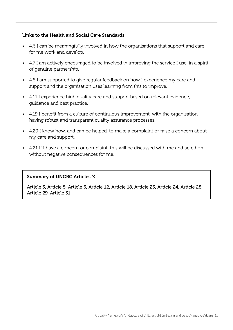### Links to the Health and Social Care Standards

- 4.6 I can be meaningfully involved in how the organisations that support and care for me work and develop.
- 4.7 I am actively encouraged to be involved in improving the service I use, in a spirit of genuine partnership.
- 4.8 I am supported to give regular feedback on how I experience my care and support and the organisation uses learning from this to improve.
- 4.11 I experience high quality care and support based on relevant evidence, guidance and best practice.
- 4.19 I benefit from a culture of continuous improvement, with the organisation having robust and transparent quality assurance processes.
- 4.20 I know how, and can be helped, to make a complaint or raise a concern about my care and support.
- 4.21 If I have a concern or complaint, this will be discussed with me and acted on without negative consequences for me.

### [Summary of UNCRC Articles](https://www.unicef.org.uk/wp-content/uploads/2010/05/UNCRC_summary-1.pdf) C

Article 3, Article 5, Article 6, Article 12, Article 18, Article 23, Article 24, Article 28, Article 29, Article 31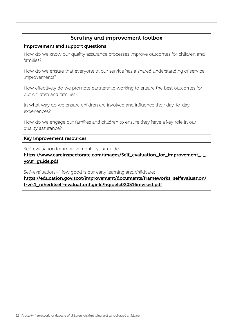# Scrutiny and improvement toolbox

#### Improvement and support questions

How do we know our quality assurance processes improve outcomes for children and families?

How do we ensure that everyone in our service has a shared understanding of service improvements?

How effectively do we promote partnership working to ensure the best outcomes for our children and families?

In what way do we ensure children are involved and influence their day-to-day experiences?

How do we engage our families and children to ensure they have a key role in our quality assurance?

Key improvement resources

Self-evaluation for improvement - your guide:

[https://www.careinspectorate.com/images/Self\\_evaluation\\_for\\_improvement\\_-\\_](https://www.careinspectorate.com/images/Self_evaluation_for_improvement_-_your_guide.pdf
) [your\\_guide.pdf](https://www.careinspectorate.com/images/Self_evaluation_for_improvement_-_your_guide.pdf
)

Self-evaluation - How good is our early learning and childcare:

[https://education.gov.scot/improvement/documents/frameworks\\_selfevaluation/](https://education.gov.scot/improvement/documents/frameworks_selfevaluation/frwk1_niheditself-evaluationhgielc/hgioelc020316revised.pdf) [frwk1\\_niheditself-evaluationhgielc/hgioelc020316revised.pdf](https://education.gov.scot/improvement/documents/frameworks_selfevaluation/frwk1_niheditself-evaluationhgielc/hgioelc020316revised.pdf)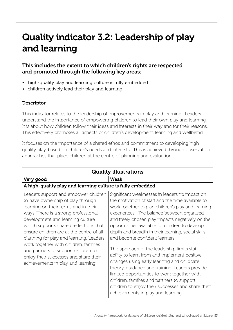# Quality indicator 3.2: Leadership of play and learning

# This includes the extent to which children's rights are respected and promoted through the following key areas:

- high-quality play and learning culture is fully embedded
- children actively lead their play and learning.

# **Descriptor**

This indicator relates to the leadership of improvements in play and learning. Leaders understand the importance of empowering children to lead their own play and learning. It is about how children follow their ideas and interests in their way and for their reasons. This effectively promotes all aspects of children's development, learning and wellbeing.

It focuses on the importance of a shared ethos and commitment to developing high quality play, based on children's needs and interests. This is achieved through observation approaches that place children at the centre of planning and evaluation.

| <b>Quality illustrations</b>                                                                                                                                                                                                                                                                                                                                                                                                                                                                  |                                                                                                                                                                                                                                                                                                                                                                                                                                                                                                                                                                                                                                                                                                                                                                                               |
|-----------------------------------------------------------------------------------------------------------------------------------------------------------------------------------------------------------------------------------------------------------------------------------------------------------------------------------------------------------------------------------------------------------------------------------------------------------------------------------------------|-----------------------------------------------------------------------------------------------------------------------------------------------------------------------------------------------------------------------------------------------------------------------------------------------------------------------------------------------------------------------------------------------------------------------------------------------------------------------------------------------------------------------------------------------------------------------------------------------------------------------------------------------------------------------------------------------------------------------------------------------------------------------------------------------|
| Very good                                                                                                                                                                                                                                                                                                                                                                                                                                                                                     | <b>Weak</b>                                                                                                                                                                                                                                                                                                                                                                                                                                                                                                                                                                                                                                                                                                                                                                                   |
| A high-quality play and learning culture is fully embedded                                                                                                                                                                                                                                                                                                                                                                                                                                    |                                                                                                                                                                                                                                                                                                                                                                                                                                                                                                                                                                                                                                                                                                                                                                                               |
| Leaders support and empower children<br>to have ownership of play through<br>learning on their terms and in their<br>ways. There is a strong professional<br>development and learning culture<br>which supports shared reflections that<br>ensure children are at the centre of all<br>planning for play and learning. Leaders<br>work together with children, families<br>and partners to support children to<br>enjoy their successes and share their<br>achievements in play and learning. | Significant weaknesses in leadership impact on<br>the motivation of staff and the time available to<br>work together to plan children's play and learning<br>experiences. The balance between organised<br>and freely chosen play impacts negatively on the<br>opportunities available for children to develop<br>depth and breadth in their learning, social skills<br>and become confident learners.<br>The approach of the leadership limits staff<br>ability to learn from and implement positive<br>changes using early learning and childcare<br>theory, guidance and training. Leaders provide<br>limited opportunities to work together with<br>children, families and partners to support<br>children to enjoy their successes and share their<br>achievements in play and learning. |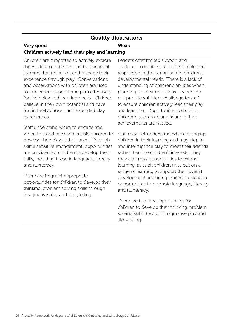| <b>Quality illustrations</b>                                                                                                                                                                                                                                                                                                                                                                                                                                                                                                                                                                                                                                                                                                                                                                                                                                                                |                                                                                                                                                                                                                                                                                                                                                                                                                                                                                                                                                                                                                                                                                                                                                                                                                                                                                                                                                                                                                                                                                 |  |
|---------------------------------------------------------------------------------------------------------------------------------------------------------------------------------------------------------------------------------------------------------------------------------------------------------------------------------------------------------------------------------------------------------------------------------------------------------------------------------------------------------------------------------------------------------------------------------------------------------------------------------------------------------------------------------------------------------------------------------------------------------------------------------------------------------------------------------------------------------------------------------------------|---------------------------------------------------------------------------------------------------------------------------------------------------------------------------------------------------------------------------------------------------------------------------------------------------------------------------------------------------------------------------------------------------------------------------------------------------------------------------------------------------------------------------------------------------------------------------------------------------------------------------------------------------------------------------------------------------------------------------------------------------------------------------------------------------------------------------------------------------------------------------------------------------------------------------------------------------------------------------------------------------------------------------------------------------------------------------------|--|
| Very good                                                                                                                                                                                                                                                                                                                                                                                                                                                                                                                                                                                                                                                                                                                                                                                                                                                                                   | <b>Weak</b>                                                                                                                                                                                                                                                                                                                                                                                                                                                                                                                                                                                                                                                                                                                                                                                                                                                                                                                                                                                                                                                                     |  |
| Children actively lead their play and learning                                                                                                                                                                                                                                                                                                                                                                                                                                                                                                                                                                                                                                                                                                                                                                                                                                              |                                                                                                                                                                                                                                                                                                                                                                                                                                                                                                                                                                                                                                                                                                                                                                                                                                                                                                                                                                                                                                                                                 |  |
| Children are supported to actively explore<br>the world around them and be confident<br>learners that reflect on and reshape their<br>experience through play. Conversations<br>and observations with children are used<br>to implement support and plan effectively<br>for their play and learning needs. Children<br>believe in their own potential and have<br>fun in freely chosen and extended play<br>experiences.<br>Staff understand when to engage and<br>when to stand back and enable children to<br>develop their play at their pace. Through<br>skilful sensitive engagement, opportunities<br>are provided for children to develop their<br>skills, including those in language, literacy<br>and numeracy.<br>There are frequent appropriate<br>opportunities for children to develop their<br>thinking, problem solving skills through<br>imaginative play and storytelling. | Leaders offer limited support and<br>guidance to enable staff to be flexible and<br>responsive in their approach to children's<br>developmental needs. There is a lack of<br>understanding of children's abilities when<br>planning for their next steps. Leaders do<br>not provide sufficient challenge to staff<br>to ensure children actively lead their play<br>and learning. Opportunities to build on<br>children's successes and share in their<br>achievements are missed.<br>Staff may not understand when to engage<br>children in their learning and may step in<br>and interrupt the play to meet their agenda<br>rather than the children's interests. They<br>may also miss opportunities to extend<br>learning, as such children miss out on a<br>range of learning to support their overall<br>development, including limited application<br>opportunities to promote language, literacy<br>and numeracy.<br>There are too few opportunities for<br>children to develop their thinking, problem<br>solving skills through imaginative play and<br>storytelling. |  |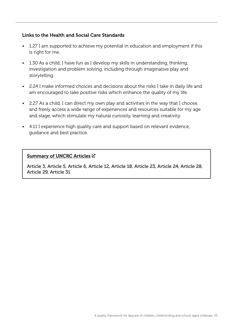### Links to the Health and Social Care Standards

- 1.27 I am supported to achieve my potential in education and employment if this is right for me.
- 1.30 As a child, I have fun as I develop my skills in understanding, thinking, investigation and problem solving, including through imaginative play and storytelling.
- 2.24 I make informed choices and decisions about the risks I take in daily life and am encouraged to take positive risks which enhance the quality of my life.
- 2.27 As a child, I can direct my own play and activities in the way that I choose, and freely access a wide range of experiences and resources suitable for my age and stage, which stimulate my natural curiosity, learning and creativity.
- 4.11 I experience high quality care and support based on relevant evidence, guidance and best practice.

#### [Summary of UNCRC Articles](https://www.unicef.org.uk/wp-content/uploads/2010/05/UNCRC_summary-1.pdf) C

Article 3, Article 5, Article 6, Article 12, Article 18, Article 23, Article 24, Article 28, Article 29, Article 31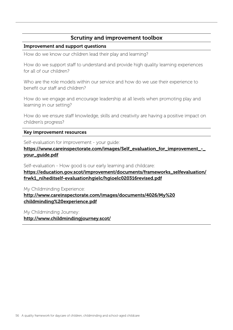# Scrutiny and improvement toolbox

#### Improvement and support questions

How do we know our children lead their play and learning?

How do we support staff to understand and provide high quality learning experiences for all of our children?

Who are the role models within our service and how do we use their experience to benefit our staff and children?

How do we engage and encourage leadership at all levels when promoting play and learning in our setting?

How do we ensure staff knowledge, skills and creativity are having a positive impact on children's progress?

#### Key improvement resources

Self-evaluation for improvement - your guide:

[https://www.careinspectorate.com/images/Self\\_evaluation\\_for\\_improvement\\_-\\_](https://www.careinspectorate.com/images/Self_evaluation_for_improvement_-_your_guide.pdf) [your\\_guide.pdf](https://www.careinspectorate.com/images/Self_evaluation_for_improvement_-_your_guide.pdf)

Self-evaluation - How good is our early learning and childcare:

[https://education.gov.scot/improvement/documents/frameworks\\_selfevaluation/](https://education.gov.scot/improvement/documents/frameworks_selfevaluation/frwk1_niheditself-evaluationhgielc/hgioelc020316revised.pdf) [frwk1\\_niheditself-evaluationhgielc/hgioelc020316revised.pdf](https://education.gov.scot/improvement/documents/frameworks_selfevaluation/frwk1_niheditself-evaluationhgielc/hgioelc020316revised.pdf)

My Childminding Experience: [http://www.careinspectorate.com/images/documents/4026/My%20](http://www.careinspectorate.com/images/documents/4026/My%20childminding%20experience.pdf) [childminding%20experience.pdf](http://www.careinspectorate.com/images/documents/4026/My%20childminding%20experience.pdf)

My Childminding Journey: <http://www.childmindingjourney.scot/>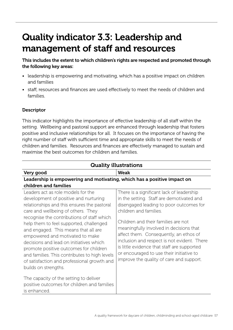# Quality indicator 3.3: Leadership and management of staff and resources

This includes the extent to which children's rights are respected and promoted through the following key areas:

- leadership is empowering and motivating, which has a positive impact on children and families
- staff, resources and finances are used effectively to meet the needs of children and families.

# **Descriptor**

This indicator highlights the importance of effective leadership of all staff within the setting. Wellbeing and pastoral support are enhanced through leadership that fosters positive and inclusive relationships for all. It focuses on the importance of having the right number of staff with sufficient time and appropriate skills to meet the needs of children and families. Resources and finances are effectively managed to sustain and maximise the best outcomes for children and families.

| <b>Quality illustrations</b>                                                                                                                                                                                                                                                                                                                                                                                                                                                                                                                                                                                                                               |                                                                                                                                                                                                                                                                                                                                                                                                                                                                               |
|------------------------------------------------------------------------------------------------------------------------------------------------------------------------------------------------------------------------------------------------------------------------------------------------------------------------------------------------------------------------------------------------------------------------------------------------------------------------------------------------------------------------------------------------------------------------------------------------------------------------------------------------------------|-------------------------------------------------------------------------------------------------------------------------------------------------------------------------------------------------------------------------------------------------------------------------------------------------------------------------------------------------------------------------------------------------------------------------------------------------------------------------------|
| Very good                                                                                                                                                                                                                                                                                                                                                                                                                                                                                                                                                                                                                                                  | Weak                                                                                                                                                                                                                                                                                                                                                                                                                                                                          |
| Leadership is empowering and motivating, which has a positive impact on<br>children and families                                                                                                                                                                                                                                                                                                                                                                                                                                                                                                                                                           |                                                                                                                                                                                                                                                                                                                                                                                                                                                                               |
| Leaders act as role models for the<br>development of positive and nurturing<br>relationships and this ensures the pastoral<br>care and wellbeing of others. They<br>recognise the contributions of staff which<br>help them to feel supported, challenged<br>and engaged. This means that all are<br>empowered and motivated to make<br>decisions and lead on initiatives which<br>promote positive outcomes for children<br>and families. This contributes to high levels<br>of satisfaction and professional growth and<br>builds on strengths.<br>The capacity of the setting to deliver<br>positive outcomes for children and families<br>is enhanced. | There is a significant lack of leadership<br>in the setting. Staff are demotivated and<br>disengaged leading to poor outcomes for<br>children and families.<br>Children and their families are not<br>meaningfully involved in decisions that<br>affect them. Consequently, an ethos of<br>inclusion and respect is not evident. There<br>is little evidence that staff are supported<br>or encouraged to use their initiative to<br>improve the quality of care and support. |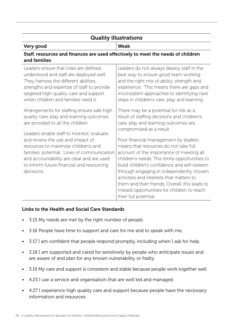# Quality illustrations

#### Very good Weak

# Staff, resources and finances are used effectively to meet the needs of children and families

| Leaders ensure that roles are defined,      | Leaders do not always deploy staff in the      |
|---------------------------------------------|------------------------------------------------|
| understood and staff are deployed well.     | best way to ensure good team working           |
| They harness the different abilities,       | and the right mix of ability, strength and     |
| strengths and expertise of staff to provide | experience. This means there are gaps and      |
| targeted high-quality care and support      | inconsistent approaches to identifying next    |
| when children and families need it.         | steps in children's care, play and learning.   |
| Arrangements for staffing ensure safe high  | There may be a potential for risk as a         |
| quality care, play and learning outcomes    | result of staffing decisions and children's    |
| are provided to all the children.           | care, play and learning outcomes are           |
|                                             | compromised as a result.                       |
| Leaders enable staff to monitor, evaluate   |                                                |
| and review the use and impact of            | Poor financial management by leaders           |
| resources to maximise children's and        | means that resources do not take full          |
| families' potential. Lines of communication | account of the importance of meeting all       |
| and accountability are clear and are used   | children's needs. This limits opportunities to |
| to inform future financial and resourcing   | build children's confidence and self-esteem    |
| decisions.                                  | through engaging in independently chosen       |
|                                             | activities and interests that matters to       |
|                                             | them and their friends. Overall, this leads to |
|                                             | missed opportunities for children to reach     |
|                                             | their full potential.                          |

### Links to the Health and Social Care Standards

- 3.15 My needs are met by the right number of people.
- 3.16 People have time to support and care for me and to speak with me.
- 3.17 I am confident that people respond promptly, including when I ask for help.
- 3.18 I am supported and cared for sensitively by people who anticipate issues and are aware of and plan for any known vulnerability or frailty.
- 3.19 My care and support is consistent and stable because people work together well.
- 4.23 I use a service and organisation that are well led and managed.
- 4.27 I experience high quality care and support because people have the necessary information and resources.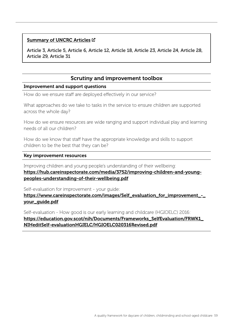#### [Summary of UNCRC Articles](https://www.unicef.org.uk/wp-content/uploads/2010/05/UNCRC_summary-1.pdf) C

Article 3, Article 5, Article 6, Article 12, Article 18, Article 23, Article 24, Article 28, Article 29, Article 31

# Scrutiny and improvement toolbox

#### Improvement and support questions

How do we ensure staff are deployed effectively in our service?

What approaches do we take to tasks in the service to ensure children are supported across the whole day?

How do we ensure resources are wide ranging and support individual play and learning needs of all our children?

How do we know that staff have the appropriate knowledge and skills to support children to be the best that they can be?

#### Key improvement resources

Improving children and young people's understanding of their wellbeing: [https://hub.careinspectorate.com/media/3752/improving-children-and-young](https://hub.careinspectorate.com/media/3752/improving-children-and-young-peoples-understanding-of-their-wellbeing.pdf)[peoples-understanding-of-their-wellbeing.pdf](https://hub.careinspectorate.com/media/3752/improving-children-and-young-peoples-understanding-of-their-wellbeing.pdf)

Self-evaluation for improvement - your guide:

https://www.careinspectorate.com/images/Self\_evaluation\_for\_improvement\_[your\\_guide.pdf](https://www.careinspectorate.com/images/Self_evaluation_for_improvement_-_your_guide.pdf)

Self-evaluation - How good is our early learning and childcare (HGIOELC) 2016: [https://education.gov.scot/nih/Documents/Frameworks\\_SelfEvaluation/FRWK1\\_](https://education.gov.scot/nih/Documents/Frameworks_SelfEvaluation/FRWK1_NIHeditSelf-evaluationHGIELC/HGIOELC020316Revised.pdf) [NIHeditSelf-evaluationHGIELC/HGIOELC020316Revised.pdf](https://education.gov.scot/nih/Documents/Frameworks_SelfEvaluation/FRWK1_NIHeditSelf-evaluationHGIELC/HGIOELC020316Revised.pdf)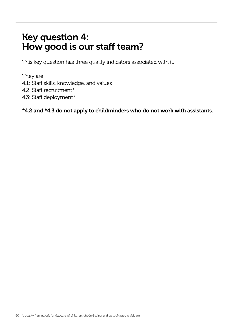# Key question 4: How good is our staff team?

This key question has three quality indicators associated with it.

They are:

- 4.1: Staff skills, knowledge, and values
- 4.2: Staff recruitment\*
- 4.3: Staff deployment\*

\*4.2 and \*4.3 do not apply to childminders who do not work with assistants.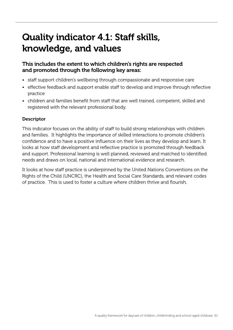# Quality indicator 4.1: Staff skills, knowledge, and values

# This includes the extent to which children's rights are respected and promoted through the following key areas:

- staff support children's wellbeing through compassionate and responsive care
- effective feedback and support enable staff to develop and improve through reflective practice
- children and families benefit from staff that are well trained, competent, skilled and registered with the relevant professional body.

# **Descriptor**

This indicator focuses on the ability of staff to build strong relationships with children and families. It highlights the importance of skilled interactions to promote children's confidence and to have a positive influence on their lives as they develop and learn. It looks at how staff development and reflective practice is promoted through feedback and support. Professional learning is well planned, reviewed and matched to identified needs and draws on local, national and international evidence and research.

It looks at how staff practice is underpinned by the United Nations Conventions on the Rights of the Child (UNCRC), the Health and Social Care Standards, and relevant codes of practice. This is used to foster a culture where children thrive and flourish.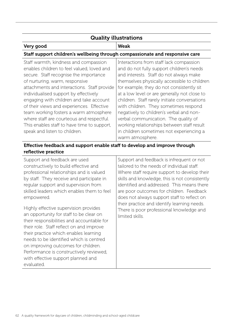#### Quality illustrations Very good Weak Staff support children's wellbeing through compassionate and responsive care Staff warmth, kindness and compassion enables children to feel valued, loved and secure. Staff recognise the importance of nurturing, warm, responsive attachments and interactions. Staff provide individualised support by effectively engaging with children and take account of their views and experiences. Effective team working fosters a warm atmosphere where staff are courteous and respectful. This enables staff to have time to support, speak and listen to children. Interactions from staff lack compassion and do not fully support children's needs and interests. Staff do not always make themselves physically accessible to children for example, they do not consistently sit at a low level or are generally not close to children. Staff rarely initiate conversations with children. They sometimes respond negatively to children's verbal and nonverbal communication. The quality of working relationships between staff result in children sometimes not experiencing a warm atmosphere.

# Effective feedback and support enable staff to develop and improve through reflective practice

Support and feedback are used constructively to build effective and professional relationships and is valued by staff. They receive and participate in regular support and supervision from skilled leaders which enables them to feel empowered.

Highly effective supervision provides an opportunity for staff to be clear on their responsibilities and accountable for their role. Staff reflect on and improve their practice which enables learning needs to be identified which is centred on improving outcomes for children. Performance is constructively reviewed, with effective support planned and evaluated.

Support and feedback is infrequent or not tailored to the needs of individual staff. Where staff require support to develop their skills and knowledge, this is not consistently identified and addressed. This means there are poor outcomes for children. Feedback does not always support staff to reflect on their practice and identify learning needs. There is poor professional knowledge and limited skills.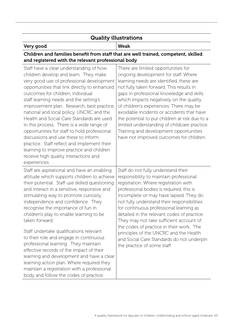# Quality illustrations

# Very good Weak

# Children and families benefit from staff that are well trained, competent, skilled and registered with the relevant professional body

| Staff have a clear understanding of how<br>children develop and learn. They make<br>very good use of professional development<br>opportunities that link directly to enhanced<br>outcomes for children, individual<br>staff learning needs and the setting's<br>improvement plan. Research, best practice,<br>national and local policy, UNCRC and the<br>Health and Social Care Standards are used<br>in this process. There is a wide range of<br>opportunities for staff to hold professional<br>discussions and use these to inform<br>practice. Staff reflect and implement their<br>learning to improve practice and children<br>receive high quality interactions and<br>experiences.                                              | There are limited opportunities for<br>ongoing development for staff. Where<br>learning needs are identified, these are<br>not fully taken forward. This results in<br>gaps in professional knowledge and skills<br>which impacts negatively on the quality<br>of children's experiences. There may be<br>avoidable incidents or accidents that have<br>the potential to put children at risk due to a<br>limited understanding of childcare practice.<br>Training and development opportunities<br>have not improved outcomes for children.                        |
|-------------------------------------------------------------------------------------------------------------------------------------------------------------------------------------------------------------------------------------------------------------------------------------------------------------------------------------------------------------------------------------------------------------------------------------------------------------------------------------------------------------------------------------------------------------------------------------------------------------------------------------------------------------------------------------------------------------------------------------------|---------------------------------------------------------------------------------------------------------------------------------------------------------------------------------------------------------------------------------------------------------------------------------------------------------------------------------------------------------------------------------------------------------------------------------------------------------------------------------------------------------------------------------------------------------------------|
| Staff are aspirational and have an enabling<br>attitude which supports children to achieve<br>their potential. Staff use skilled questioning<br>and interact in a sensitive, responsive and<br>stimulating way to promote curiosity,<br>independence and confidence. They<br>recognise the importance of fun in<br>children's play to enable learning to be<br>taken forward.<br>Staff undertake qualifications relevant<br>to their role and engage in continuous<br>professional learning. They maintain<br>effective records of the impact of their<br>learning and development and have a clear<br>learning action plan. Where required they<br>maintain a registration with a professional<br>body and follow the codes of practice. | Staff do not fully understand their<br>responsibility to maintain professional<br>registration. Where registration with<br>professional bodies is required, this is<br>incomplete or may have lapsed. They do<br>not fully understand their responsibilities<br>for continuous professional learning as<br>detailed in the relevant codes of practice.<br>They may not take sufficient account of<br>the codes of practice in their work. The<br>principles of the UNCRC and the Health<br>and Social Care Standards do not underpin<br>the practice of some staff. |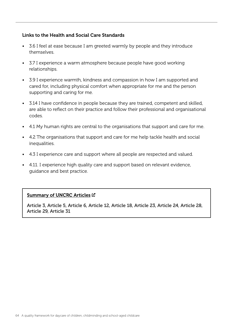### Links to the Health and Social Care Standards

- 3.6 I feel at ease because I am greeted warmly by people and they introduce themselves.
- 3.7 I experience a warm atmosphere because people have good working relationships.
- 3.9 I experience warmth, kindness and compassion in how I am supported and cared for, including physical comfort when appropriate for me and the person supporting and caring for me.
- 3.14 I have confidence in people because they are trained, competent and skilled, are able to reflect on their practice and follow their professional and organisational codes.
- 4.1 My human rights are central to the organisations that support and care for me.
- 4.2 The organisations that support and care for me help tackle health and social inequalities.
- 4.3 I experience care and support where all people are respected and valued.
- 4.11. I experience high quality care and support based on relevant evidence, guidance and best practice.

### [Summary of UNCRC Articles](https://www.unicef.org.uk/wp-content/uploads/2010/05/UNCRC_summary-1.pdf)  $\mathbb Z$

Article 3, Article 5, Article 6, Article 12, Article 18, Article 23, Article 24, Article 28, Article 29, Article 31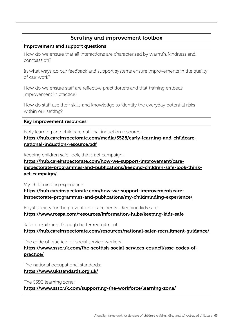# Scrutiny and improvement toolbox

#### Improvement and support questions

How do we ensure that all interactions are characterised by warmth, kindness and compassion?

In what ways do our feedback and support systems ensure improvements in the quality of our work?

How do we ensure staff are reflective practitioners and that training embeds improvement in practice?

How do staff use their skills and knowledge to identify the everyday potential risks within our setting?

#### Key improvement resources

Early learning and childcare national induction resource: [https://hub.careinspectorate.com/media/3528/early-learning-and-childcare](https://hub.careinspectorate.com/media/3528/early-learning-and-childcare-national-induction-resource.pdf
)[national-induction-resource.pdf](https://hub.careinspectorate.com/media/3528/early-learning-and-childcare-national-induction-resource.pdf
)

Keeping children safe-look, think, act campaign:

[https://hub.careinspectorate.com/how-we-support-improvement/care](https://hub.careinspectorate.com/how-we-support-improvement/care-inspectorate-programmes-and-publications/keeping-children-safe-look-think-act-campaign/)[inspectorate-programmes-and-publications/keeping-children-safe-look-think](https://hub.careinspectorate.com/how-we-support-improvement/care-inspectorate-programmes-and-publications/keeping-children-safe-look-think-act-campaign/)[act-campaign/](https://hub.careinspectorate.com/how-we-support-improvement/care-inspectorate-programmes-and-publications/keeping-children-safe-look-think-act-campaign/)

My childminding experience:

[https://hub.careinspectorate.com/how-we-support-improvement/care](https://hub.careinspectorate.com/how-we-support-improvement/care-inspectorate-programmes-and-publications/my-childminding-experience/
)[inspectorate-programmes-and-publications/my-childminding-experience/](https://hub.careinspectorate.com/how-we-support-improvement/care-inspectorate-programmes-and-publications/my-childminding-experience/
)

Royal society for the prevention of accidents - Keeping kids safe: <https://www.rospa.com/resources/information-hubs/keeping-kids-safe>

Safer recruitment through better recruitment:

<https://hub.careinspectorate.com/resources/national-safer-recruitment-guidance/>

The code of practice for social service workers:

[https://www.sssc.uk.com/the-scottish-social-services-council/sssc-codes-of](https://www.sssc.uk.com/the-scottish-social-services-council/sssc-codes-of-practice/)[practice/](https://www.sssc.uk.com/the-scottish-social-services-council/sssc-codes-of-practice/)

The national occupational standards:

<https://www.ukstandards.org.uk/>

The SSSC learning zone:

<https://www.sssc.uk.com/supporting-the-workforce/learning-zone>/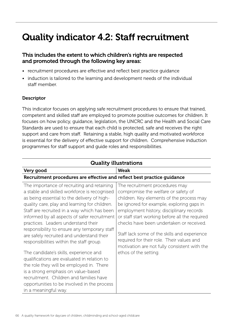# Quality indicator 4.2: Staff recruitment

# This includes the extent to which children's rights are respected and promoted through the following key areas:

- recruitment procedures are effective and reflect best practice guidance
- induction is tailored to the learning and development needs of the individual staff member.

#### Descriptor

This indicator focuses on applying safe recruitment procedures to ensure that trained, competent and skilled staff are employed to promote positive outcomes for children. It focuses on how policy, guidance, legislation, the UNCRC and the Health and Social Care Standards are used to ensure that each child is protected, safe and receives the right support and care from staff. Retaining a stable, high quality and motivated workforce is essential for the delivery of effective support for children. Comprehensive induction programmes for staff support and guide roles and responsibilities.

| <b>Quality illustrations</b>                                                                                                                                                                                                                                                                                                                                                                                                                                                                                                                                                                                   |                                                                                                                                                                                                                                                                                                                                                                                                                                                                                 |  |
|----------------------------------------------------------------------------------------------------------------------------------------------------------------------------------------------------------------------------------------------------------------------------------------------------------------------------------------------------------------------------------------------------------------------------------------------------------------------------------------------------------------------------------------------------------------------------------------------------------------|---------------------------------------------------------------------------------------------------------------------------------------------------------------------------------------------------------------------------------------------------------------------------------------------------------------------------------------------------------------------------------------------------------------------------------------------------------------------------------|--|
| Very good                                                                                                                                                                                                                                                                                                                                                                                                                                                                                                                                                                                                      | <b>Weak</b>                                                                                                                                                                                                                                                                                                                                                                                                                                                                     |  |
| Recruitment procedures are effective and reflect best practice guidance                                                                                                                                                                                                                                                                                                                                                                                                                                                                                                                                        |                                                                                                                                                                                                                                                                                                                                                                                                                                                                                 |  |
| The importance of recruiting and retaining<br>a stable and skilled workforce is recognised<br>as being essential to the delivery of high-<br>quality care, play and learning for children.<br>Staff are recruited in a way which has been<br>informed by all aspects of safer recruitment<br>practices. Leaders understand their<br>responsibility to ensure any temporary staff<br>are safely recruited and understand their<br>responsibilities within the staff group.<br>The candidate's skills, experience and<br>qualifications are evaluated in relation to<br>the role they will be employed in. There | The recruitment procedures may<br>compromise the welfare or safety of<br>children. Key elements of the process may<br>be ignored for example, exploring gaps in<br>employment history, disciplinary records<br>or staff start working before all the required<br>checks have been undertaken or received.<br>Staff lack some of the skills and experience<br>required for their role. Their values and<br>motivation are not fully consistent with the<br>ethos of the setting. |  |
| is a strong emphasis on value-based<br>recruitment. Children and families have                                                                                                                                                                                                                                                                                                                                                                                                                                                                                                                                 |                                                                                                                                                                                                                                                                                                                                                                                                                                                                                 |  |
| opportunities to be involved in the process                                                                                                                                                                                                                                                                                                                                                                                                                                                                                                                                                                    |                                                                                                                                                                                                                                                                                                                                                                                                                                                                                 |  |
| in a meaningful way.                                                                                                                                                                                                                                                                                                                                                                                                                                                                                                                                                                                           |                                                                                                                                                                                                                                                                                                                                                                                                                                                                                 |  |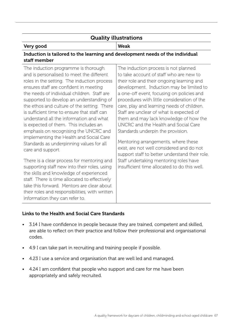# Quality illustrations

#### Very good Weak

# Induction is tailored to the learning and development needs of the individual staff member

The induction programme is thorough and is personalised to meet the different roles in the setting. The induction process ensures staff are confident in meeting the needs of individual children. Staff are supported to develop an understanding of the ethos and culture of the setting. There is sufficient time to ensure that staff can understand all the information and what is expected of them. This includes an emphasis on recognising the UNCRC and implementing the Health and Social Care Standards as underpinning values for all care and support.

There is a clear process for mentoring and supporting staff new into their roles, using the skills and knowledge of experienced staff. There is time allocated to effectively take this forward. Mentors are clear about their roles and responsibilities, with written information they can refer to.

The induction process is not planned to take account of staff who are new to their role and their ongoing learning and development. Induction may be limited to a one-off event, focusing on policies and procedures with little consideration of the care, play and learning needs of children. Staff are unclear of what is expected of them and may lack knowledge of how the UNCRC and the Health and Social Care Standards underpin the provision.

Mentoring arrangements, where these exist, are not well considered and do not support staff to better understand their role. Staff undertaking mentoring roles have insufficient time allocated to do this well.

### Links to the Health and Social Care Standards

- 3.14 I have confidence in people because they are trained, competent and skilled, are able to reflect on their practice and follow their professional and organisational codes.
- 4.9 I can take part in recruiting and training people if possible.
- 4.23 I use a service and organisation that are well led and managed.
- 4.24 I am confident that people who support and care for me have been appropriately and safely recruited.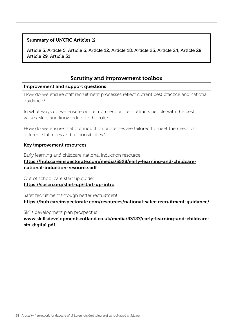#### [Summary of UNCRC Articles](https://www.unicef.org.uk/wp-content/uploads/2010/05/UNCRC_summary-1.pdf) C

Article 3, Article 5, Article 6, Article 12, Article 18, Article 23, Article 24, Article 28, Article 29, Article 31

# Scrutiny and improvement toolbox

#### Improvement and support questions

How do we ensure staff recruitment processes reflect current best practice and national guidance?

In what ways do we ensure our recruitment process attracts people with the best values, skills and knowledge for the role?

How do we ensure that our induction processes are tailored to meet the needs of different staff roles and responsibilities?

#### Key improvement resources

Early learning and childcare national induction resource:

#### [https://hub.careinspectorate.com/media/3528/early-learning-and-childcare](https://hub.careinspectorate.com/media/3528/early-learning-and-childcare-national-induction-resource.pdf)[national-induction-resource.pdf](https://hub.careinspectorate.com/media/3528/early-learning-and-childcare-national-induction-resource.pdf)

Out of school care start up guide:

<https://soscn.org/start-up/start-up-intro>

Safer recruitment through better recruitment:

<https://hub.careinspectorate.com/resources/national-safer-recruitment-guidance/>

Skills development plan prospectus:

[www.skillsdevelopmentscotland.co.uk/media/43127/early-learning-and-childcare](www.skillsdevelopmentscotland.co.uk/media/43127/early-learning-and-childcare-sip-digital.pdf)[sip-digital.pdf](www.skillsdevelopmentscotland.co.uk/media/43127/early-learning-and-childcare-sip-digital.pdf)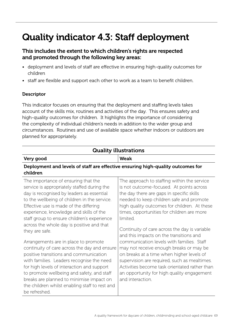# Quality indicator 4.3: Staff deployment

# This includes the extent to which children's rights are respected and promoted through the following key areas:

- deployment and levels of staff are effective in ensuring high-quality outcomes for children
- staff are flexible and support each other to work as a team to benefit children.

# **Descriptor**

This indicator focuses on ensuring that the deployment and staffing levels takes account of the skills mix, routines and activities of the day. This ensures safety and high-quality outcomes for children. It highlights the importance of considering the complexity of individual children's needs in addition to the wider group and circumstances. Routines and use of available space whether indoors or outdoors are planned for appropriately.

| <b>Quality illustrations</b>                                                                                                                                                                                                                                                                                                                   |                                                                                                                                                                                                                                                                                            |  |
|------------------------------------------------------------------------------------------------------------------------------------------------------------------------------------------------------------------------------------------------------------------------------------------------------------------------------------------------|--------------------------------------------------------------------------------------------------------------------------------------------------------------------------------------------------------------------------------------------------------------------------------------------|--|
| Very good                                                                                                                                                                                                                                                                                                                                      | <b>Weak</b>                                                                                                                                                                                                                                                                                |  |
| Deployment and levels of staff are effective ensuring high-quality outcomes for<br>children                                                                                                                                                                                                                                                    |                                                                                                                                                                                                                                                                                            |  |
| The importance of ensuring that the<br>service is appropriately staffed during the<br>day is recognised by leaders as essential<br>to the wellbeing of children in the service.<br>Effective use is made of the differing<br>experience, knowledge and skills of the<br>staff group to ensure children's experience                            | The approach to staffing within the service<br>is not outcome-focused. At points across<br>the day there are gaps in specific skills<br>needed to keep children safe and promote<br>high quality outcomes for children. At these<br>times, opportunities for children are more<br>limited. |  |
| across the whole day is positive and that<br>they are safe.                                                                                                                                                                                                                                                                                    | Continuity of care across the day is variable<br>and this impacts on the transitions and                                                                                                                                                                                                   |  |
| Arrangements are in place to promote                                                                                                                                                                                                                                                                                                           | communication levels with families. Staff                                                                                                                                                                                                                                                  |  |
| continuity of care across the day and ensure<br>positive transitions and communication<br>with families. Leaders recognise the need<br>for high levels of interaction and support<br>to promote wellbeing and safety, and staff<br>breaks are planned to minimise impact on<br>the children whilst enabling staff to rest and<br>be refreshed. | may not receive enough breaks or may be<br>on breaks at a time when higher levels of<br>supervision are required, such as mealtimes.<br>Activities become task orientated rather than<br>an opportunity for high quality engagement<br>and interaction.                                    |  |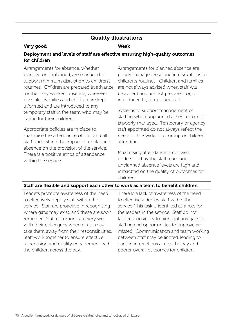# Quality illustrations

Τ

# Very good Weak

# Deployment and levels of staff are effective ensuring high-quality outcomes for children

| Arrangements for absence, whether                                                                                                                                        | Arrangements for planned absence are                                                                                                                                    |
|--------------------------------------------------------------------------------------------------------------------------------------------------------------------------|-------------------------------------------------------------------------------------------------------------------------------------------------------------------------|
| planned or unplanned, are managed to                                                                                                                                     | poorly managed resulting in disruptions to                                                                                                                              |
| support minimum disruption to children's                                                                                                                                 | children's routines. Children and families                                                                                                                              |
| routines. Children are prepared in advance                                                                                                                               | are not always advised when staff will                                                                                                                                  |
| for their key workers absence, wherever                                                                                                                                  | be absent and are not prepared for, or                                                                                                                                  |
| possible. Families and children are kept                                                                                                                                 | introduced to, temporary staff.                                                                                                                                         |
| informed and are introduced to any                                                                                                                                       | Systems to support management of                                                                                                                                        |
| temporary staff in the team who may be                                                                                                                                   | staffing when unplanned absences occur                                                                                                                                  |
| caring for their children.                                                                                                                                               | is poorly managed. Temporary or agency                                                                                                                                  |
| Appropriate policies are in place to<br>maximise the attendance of staff and all<br>staff understand the impact of unplanned<br>absence on the provision of the service. | staff appointed do not always reflect the<br>needs of the wider staff group or children<br>attending.                                                                   |
| There is a positive ethos of attendance<br>within the service.                                                                                                           | Maximising attendance is not well<br>understood by the staff team and<br>unplanned absence levels are high and<br>impacting on the quality of outcomes for<br>children. |
| Staff are flexible and support each other to work as a team to benefit children                                                                                          |                                                                                                                                                                         |
| Leaders promote awareness of the need                                                                                                                                    | There is a lack of awareness of the need                                                                                                                                |
| to effectively deploy staff within the                                                                                                                                   | to effectively deploy staff within the                                                                                                                                  |
| service. Staff are proactive in recognising                                                                                                                              | service. This task is identified as a role for                                                                                                                          |
| where gaps may exist, and these are soon                                                                                                                                 | the leaders in the service. Staff do not                                                                                                                                |
| remedied. Staff communicate very well                                                                                                                                    | take responsibility to highlight any gaps in                                                                                                                            |
| with their colleagues when a task may                                                                                                                                    | staffing and opportunities to improve are                                                                                                                               |
| take them away from their responsibilities.                                                                                                                              | missed. Communication and team working                                                                                                                                  |
| Staff work together to ensure effective                                                                                                                                  | between staff may be limited, leading to                                                                                                                                |
| supervision and quality engagement with                                                                                                                                  | mane in interactione acrose the day and                                                                                                                                 |

supervision and quality engagement with the children across the day. gaps in interactions across the day and poorer overall outcomes for children.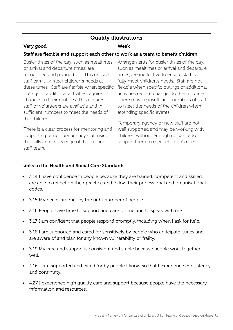| <b>Quality illustrations</b>                                                                                                                                                                                                                                                                                                                                                                                              |                                                                                                                                                                                                                                                                                                                                                                                                            |  |
|---------------------------------------------------------------------------------------------------------------------------------------------------------------------------------------------------------------------------------------------------------------------------------------------------------------------------------------------------------------------------------------------------------------------------|------------------------------------------------------------------------------------------------------------------------------------------------------------------------------------------------------------------------------------------------------------------------------------------------------------------------------------------------------------------------------------------------------------|--|
| Very good                                                                                                                                                                                                                                                                                                                                                                                                                 | Weak                                                                                                                                                                                                                                                                                                                                                                                                       |  |
| Staff are flexible and support each other to work as a team to benefit children                                                                                                                                                                                                                                                                                                                                           |                                                                                                                                                                                                                                                                                                                                                                                                            |  |
| Busier times of the day, such as mealtimes<br>or arrival and departure times, are<br>recognised and planned for. This ensures<br>staff can fully meet children's needs at<br>these times. Staff are flexible when specific<br>outings or additional activities require<br>changes to their routines. This ensures<br>staff or volunteers are available and in<br>sufficient numbers to meet the needs of<br>the children. | Arrangements for busier times of the day,<br>such as mealtimes or arrival and departure<br>times, are ineffective to ensure staff can<br>fully meet children's needs. Staff are not<br>flexible when specific outings or additional<br>activities require changes to their routines.<br>There may be insufficient numbers of staff<br>to meet the needs of the children when<br>attending specific events. |  |
| There is a clear process for mentoring and<br>supporting temporary agency staff using<br>the skills and knowledge of the existing<br>staff team.                                                                                                                                                                                                                                                                          | Temporary agency or new staff are not<br>well supported and may be working with<br>children without enough quidance to<br>support them to meet children's needs.                                                                                                                                                                                                                                           |  |

# Links to the Health and Social Care Standards

- 3.14 I have confidence in people because they are trained, competent and skilled, are able to reflect on their practice and follow their professional and organisational codes.
- 3.15 My needs are met by the right number of people.
- 3.16 People have time to support and care for me and to speak with me.
- 3.17 I am confident that people respond promptly, including when I ask for help.
- 3.18 I am supported and cared for sensitively by people who anticipate issues and are aware of and plan for any known vulnerability or frailty.
- 3.19 My care and support is consistent and stable because people work together well.
- 4.16 I am supported and cared for by people I know so that I experience consistency and continuity.
- 4.27 I experience high quality care and support because people have the necessary information and resources.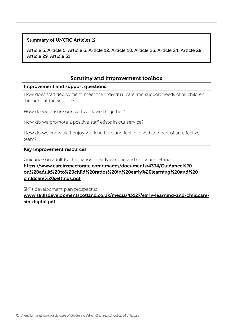#### [Summary of UNCRC Articles](https://www.unicef.org.uk/wp-content/uploads/2010/05/UNCRC_summary-1.pdf) C

Article 3, Article 5, Article 6, Article 12, Article 18, Article 23, Article 24, Article 28, Article 29, Article 31

# Scrutiny and improvement toolbox

#### Improvement and support questions

How does staff deployment, meet the individual care and support needs of all children throughout the session?

How do we ensure our staff work well together?

How do we promote a positive staff ethos in our service?

How do we know staff enjoy working here and feel involved and part of an effective team?

#### Key improvement resources

Guidance on adult to child ratios in early earning and childcare settings:

# [https://www.careinspectorate.com/images/documents/4334/Guidance%20](https://www.careinspectorate.com/images/documents/4334/Guidance%20on%20adult%20to%20child%20ratios%20in%20early%20learning%20and%20childcare%20settings.pdf) [on%20adult%20to%20child%20ratios%20in%20early%20learning%20and%20](https://www.careinspectorate.com/images/documents/4334/Guidance%20on%20adult%20to%20child%20ratios%20in%20early%20learning%20and%20childcare%20settings.pdf) [childcare%20settings.pdf](https://www.careinspectorate.com/images/documents/4334/Guidance%20on%20adult%20to%20child%20ratios%20in%20early%20learning%20and%20childcare%20settings.pdf)

Skills development plan prospectus:

[www.skillsdevelopmentscotland.co.uk/media/43127/early-learning-and-childcare](www.skillsdevelopmentscotland.co.uk/media/43127/early-learning-and-childcare-sip-digital.pdf)[sip-digital.pdf](www.skillsdevelopmentscotland.co.uk/media/43127/early-learning-and-childcare-sip-digital.pdf)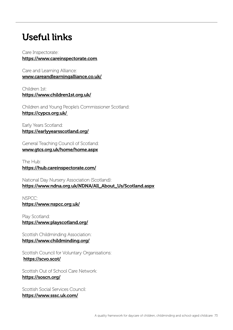# Useful links

Care Inspectorate: <https://www.careinspectorate.com>

Care and Learning Alliance: [www.careandlearningalliance.co.uk/](www.careandlearningalliance.co.uk/
)

Children 1st: <https://www.children1st.org.uk/>

Children and Young People's Commissioner Scotland: <https://cypcs.org.uk/>

Early Years Scotland: <https://earlyyearsscotland.org/>

General Teaching Council of Scotland: <www.gtcs.org.uk/home/home.aspx>

The Hub: <https://hub.careinspectorate.com/>

National Day Nursery Association (Scotland): [https://www.ndna.org.uk/NDNA/All\\_About\\_Us/Scotland.aspx](https://www.ndna.org.uk/NDNA/All_About_Us/Scotland.aspx)

NSPCC: <https://www.nspcc.org.uk/>

Play Scotland: <https://www.playscotland.org/>

Scottish Childminding Association: <https://www.childminding.org/>

Scottish Council for Voluntary Organisations: <https://scvo.scot/>

Scottish Out of School Care Network: [https://soscn.org/](https://soscn.org/
)

Scottish Social Services Council: <https://www.sssc.uk.com/>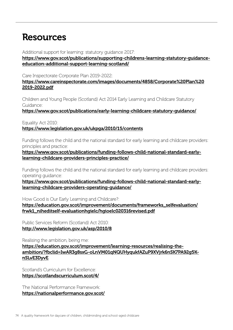## Resources

Additional support for learning: statutory guidance 2017:

[https://www.gov.scot/publications/supporting-childrens-learning-statutory-guidance](https://www.gov.scot/publications/supporting-childrens-learning-statutory-guidance-education-additional-support-learning-scotland/)[education-additional-support-learning-scotland/](https://www.gov.scot/publications/supporting-childrens-learning-statutory-guidance-education-additional-support-learning-scotland/)

Care Inspectorate Corporate Plan 2019-2022:

### [https://www.careinspectorate.com/images/documents/4858/Corporate%20Plan%20](https://www.careinspectorate.com/images/documents/4858/Corporate%20Plan%202019-2022.pdf) [2019-2022.pdf](https://www.careinspectorate.com/images/documents/4858/Corporate%20Plan%202019-2022.pdf)

Children and Young People (Scotland) Act 2014 Early Learning and Childcare Statutory Guidance:

<https://www.gov.scot/publications/early-learning-childcare-statutory-guidance/>

Equality Act 2010: <https://www.legislation.gov.uk/ukpga/2010/15/contents>

Funding follows the child and the national standard for early learning and childcare providers: principles and practice:

[https://www.gov.scot/publications/funding-follows-child-national-standard-early](https://www.gov.scot/publications/funding-follows-child-national-standard-early-learning-childcare-providers-principles-practice/)[learning-childcare-providers-principles-practice/](https://www.gov.scot/publications/funding-follows-child-national-standard-early-learning-childcare-providers-principles-practice/)

Funding follows the child and the national standard for early learning and childcare providers: operating guidance:

[https://www.gov.scot/publications/funding-follows-child-national-standard-early](https://www.gov.scot/publications/funding-follows-child-national-standard-early-learning-childcare-providers-operating-guidance/)[learning-childcare-providers-operating-guidance/](https://www.gov.scot/publications/funding-follows-child-national-standard-early-learning-childcare-providers-operating-guidance/)

How Good is Our Early Learning and Childcare?:

[https://education.gov.scot/improvement/documents/frameworks\\_selfevaluation/](https://education.gov.scot/improvement/documents/frameworks_selfevaluation/frwk1_niheditself-evaluationhgielc/hgioelc020316revised.pdf) [frwk1\\_niheditself-evaluationhgielc/hgioelc020316revised.pdf](https://education.gov.scot/improvement/documents/frameworks_selfevaluation/frwk1_niheditself-evaluationhgielc/hgioelc020316revised.pdf)

Public Services Reform (Scotland) Act 2010: [http://www.legislation.gov.uk/asp/2010/8](http://www.legislation.gov.uk/asp/2010/8
)

Realising the ambition, being me:

[https://education.gov.scot/improvement/learning-resources/realising-the](https://education.gov.scot/improvement/learning-resources/realising-the-ambition/?fbclid=IwAR3g8sxG-oLnVM01qNQUHyqukfAZuP9XVjrk6nSK7PA92g5K-nSLvE3DyvE
)ambition/?fbclid=IwAR3q8sxG-oLnVM01qNQUHyqukfAZuP9XVirk6nSK7PA92q5K[nSLvE3DyvE](https://education.gov.scot/improvement/learning-resources/realising-the-ambition/?fbclid=IwAR3g8sxG-oLnVM01qNQUHyqukfAZuP9XVjrk6nSK7PA92g5K-nSLvE3DyvE
)

Scotland's Curriculum for Excellence: <https://scotlandscurriculum.scot/4/>

The National Performance Framework: <https://nationalperformance.gov.scot/>